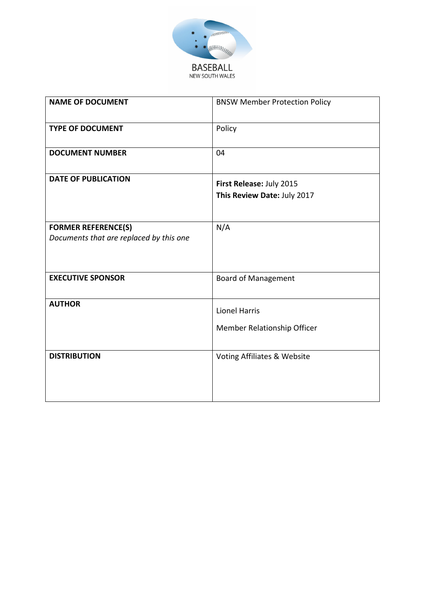

| <b>NAME OF DOCUMENT</b>                                               | <b>BNSW Member Protection Policy</b>                    |
|-----------------------------------------------------------------------|---------------------------------------------------------|
| <b>TYPE OF DOCUMENT</b>                                               | Policy                                                  |
| <b>DOCUMENT NUMBER</b>                                                | 04                                                      |
| <b>DATE OF PUBLICATION</b>                                            | First Release: July 2015<br>This Review Date: July 2017 |
| <b>FORMER REFERENCE(S)</b><br>Documents that are replaced by this one | N/A                                                     |
| <b>EXECUTIVE SPONSOR</b>                                              | <b>Board of Management</b>                              |
| <b>AUTHOR</b>                                                         | <b>Lionel Harris</b><br>Member Relationship Officer     |
| <b>DISTRIBUTION</b>                                                   | Voting Affiliates & Website                             |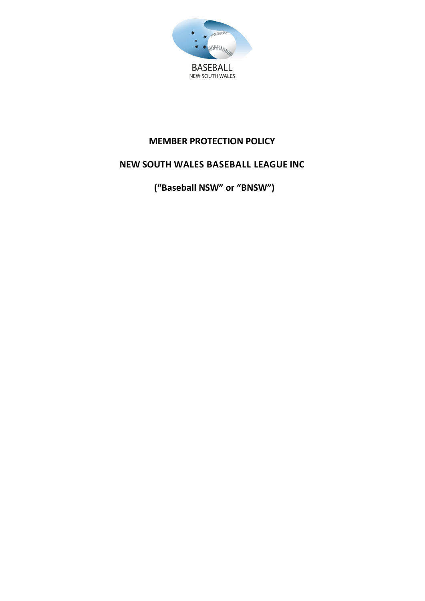

# **MEMBER PROTECTION POLICY**

# **NEW SOUTH WALES BASEBALL LEAGUE INC**

**("Baseball NSW" or "BNSW")**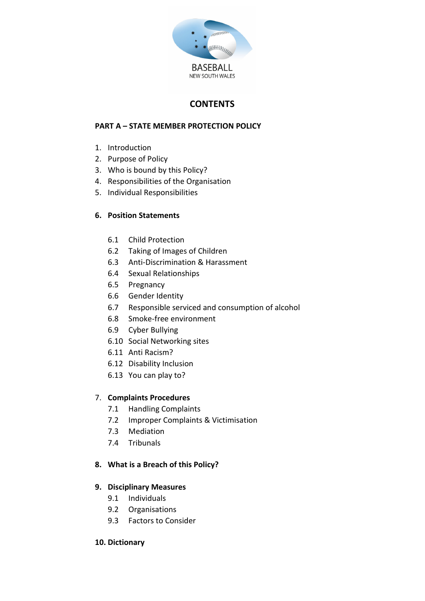

# **CONTENTS**

# **PART A – STATE MEMBER PROTECTION POLICY**

- 1. Introduction
- 2. Purpose of Policy
- 3. Who is bound by this Policy?
- 4. Responsibilities of the Organisation
- 5. Individual Responsibilities

# **6. Position Statements**

- 6.1 Child Protection
- 6.2 Taking of Images of Children
- 6.3 Anti-Discrimination & Harassment
- 6.4 Sexual Relationships
- 6.5 Pregnancy
- 6.6 Gender Identity
- 6.7 Responsible serviced and consumption of alcohol
- 6.8 Smoke-free environment
- 6.9 Cyber Bullying
- 6.10 Social Networking sites
- 6.11 Anti Racism?
- 6.12 Disability Inclusion
- 6.13 You can play to?

# 7. **Complaints Procedures**

- 7.1 Handling Complaints
- 7.2 Improper Complaints & Victimisation
- 7.3 Mediation
- 7.4 Tribunals

# **8. What is a Breach of this Policy?**

# **9. Disciplinary Measures**

- 9.1 Individuals
- 9.2 Organisations
- 9.3 Factors to Consider
- **10. Dictionary**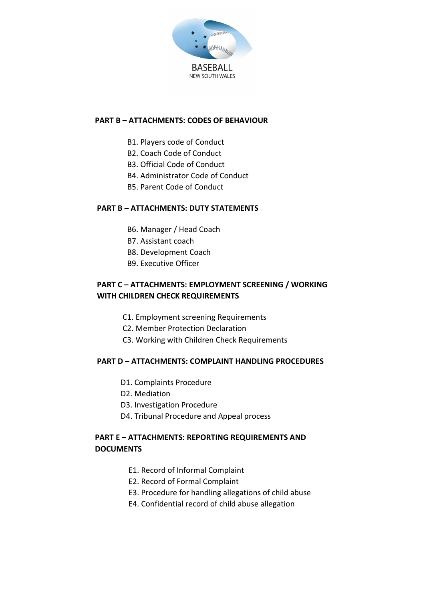

# **PART B – ATTACHMENTS: CODES OF BEHAVIOUR**

- B1. Players code of Conduct
- B2. Coach Code of Conduct
- B3. Official Code of Conduct
- B4. Administrator Code of Conduct
- B5. Parent Code of Conduct

### **PART B – ATTACHMENTS: DUTY STATEMENTS**

- B6. Manager / Head Coach
- B7. Assistant coach
- B8. Development Coach
- B9. Executive Officer

# **PART C – ATTACHMENTS: EMPLOYMENT SCREENING / WORKING WITH CHILDREN CHECK REQUIREMENTS**

- C1. Employment screening Requirements
- C2. Member Protection Declaration
- C3. Working with Children Check Requirements

### **PART D – ATTACHMENTS: COMPLAINT HANDLING PROCEDURES**

- D1. Complaints Procedure
- D2. Mediation
- D3. Investigation Procedure
- D4. Tribunal Procedure and Appeal process

# **PART E – ATTACHMENTS: REPORTING REQUIREMENTS AND DOCUMENTS**

- E1. Record of Informal Complaint
- E2. Record of Formal Complaint
- E3. Procedure for handling allegations of child abuse
- E4. Confidential record of child abuse allegation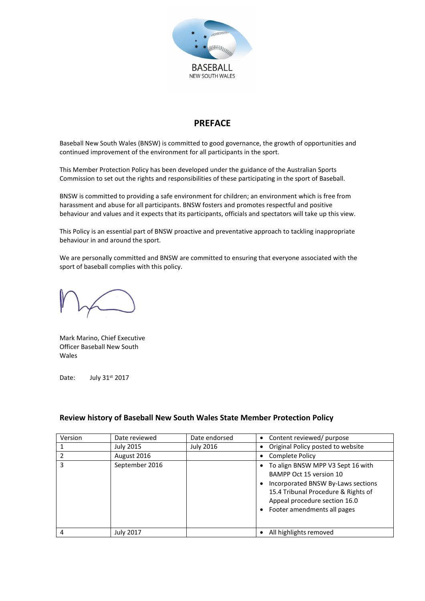

# **PREFACE**

Baseball New South Wales (BNSW) is committed to good governance, the growth of opportunities and continued improvement of the environment for all participants in the sport.

This Member Protection Policy has been developed under the guidance of the Australian Sports Commission to set out the rights and responsibilities of these participating in the sport of Baseball.

BNSW is committed to providing a safe environment for children; an environment which is free from harassment and abuse for all participants. BNSW fosters and promotes respectful and positive behaviour and values and it expects that its participants, officials and spectators will take up this view.

This Policy is an essential part of BNSW proactive and preventative approach to tackling inappropriate behaviour in and around the sport.

We are personally committed and BNSW are committed to ensuring that everyone associated with the sport of baseball complies with this policy.

Mark Marino, Chief Executive Officer Baseball New South Wales

Date: July 31st 2017

#### **Review history of Baseball New South Wales State Member Protection Policy**

| Version | Date reviewed    | Date endorsed    | • Content reviewed/ purpose                                                                                                                                                                                              |
|---------|------------------|------------------|--------------------------------------------------------------------------------------------------------------------------------------------------------------------------------------------------------------------------|
|         | July 2015        | <b>July 2016</b> | Original Policy posted to website                                                                                                                                                                                        |
|         | August 2016      |                  | Complete Policy<br>$\bullet$                                                                                                                                                                                             |
| 3       | September 2016   |                  | To align BNSW MPP V3 Sept 16 with<br>BAMPP Oct 15 version 10<br>Incorporated BNSW By-Laws sections<br>$\bullet$<br>15.4 Tribunal Procedure & Rights of<br>Appeal procedure section 16.0<br>• Footer amendments all pages |
| 4       | <b>July 2017</b> |                  | All highlights removed                                                                                                                                                                                                   |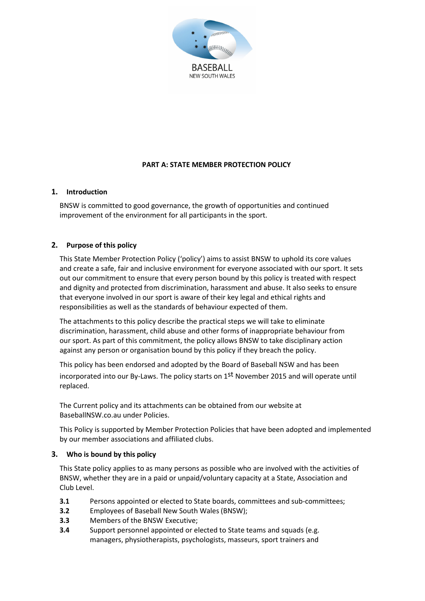

### **PART A: STATE MEMBER PROTECTION POLICY**

#### **1. Introduction**

BNSW is committed to good governance, the growth of opportunities and continued improvement of the environment for all participants in the sport.

#### **2. Purpose of this policy**

This State Member Protection Policy ('policy') aims to assist BNSW to uphold its core values and create a safe, fair and inclusive environment for everyone associated with our sport. It sets out our commitment to ensure that every person bound by this policy is treated with respect and dignity and protected from discrimination, harassment and abuse. It also seeks to ensure that everyone involved in our sport is aware of their key legal and ethical rights and responsibilities as well as the standards of behaviour expected of them.

The attachments to this policy describe the practical steps we will take to eliminate discrimination, harassment, child abuse and other forms of inappropriate behaviour from our sport. As part of this commitment, the policy allows BNSW to take disciplinary action against any person or organisation bound by this policy if they breach the policy.

This policy has been endorsed and adopted by the Board of Baseball NSW and has been incorporated into our By-Laws. The policy starts on 1<sup>st</sup> November 2015 and will operate until replaced.

The Current policy and its attachments can be obtained from our website at BaseballNSW.co.au under Policies.

This Policy is supported by Member Protection Policies that have been adopted and implemented by our member associations and affiliated clubs.

#### **3. Who is bound by this policy**

This State policy applies to as many persons as possible who are involved with the activities of BNSW, whether they are in a paid or unpaid/voluntary capacity at a State, Association and Club Level.

- **3.1** Persons appointed or elected to State boards, committees and sub-committees;
- **3.2** Employees of Baseball New South Wales (BNSW);
- **3.3** Members of the BNSW Executive;
- **3.4** Support personnel appointed or elected to State teams and squads (e.g. managers, physiotherapists, psychologists, masseurs, sport trainers and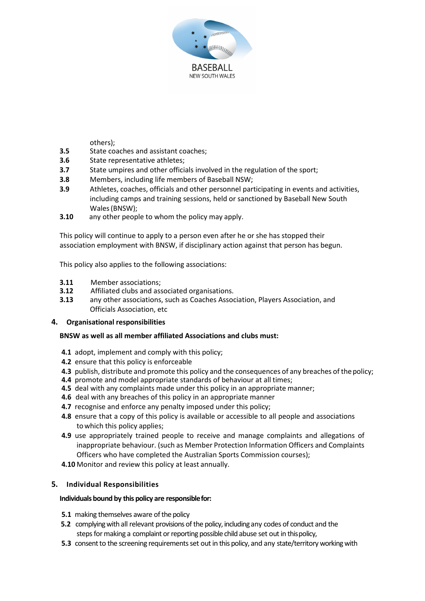

others);

- **3.5** State coaches and assistant coaches;
- **3.6** State representative athletes;
- **3.7** State umpires and other officials involved in the regulation of the sport;
- **3.8** Members, including life members of Baseball NSW;
- **3.9** Athletes, coaches, officials and other personnel participating in events and activities, including camps and training sessions, held or sanctioned by Baseball New South Wales(BNSW);
- **3.10** any other people to whom the policy may apply.

This policy will continue to apply to a person even after he or she has stopped their association employment with BNSW, if disciplinary action against that person has begun.

This policy also applies to the following associations:

- **3.11** Member associations;
- **3.12** Affiliated clubs and associated organisations.
- **3.13** any other associations, such as Coaches Association, Players Association, and Officials Association, etc

#### **4. Organisational responsibilities**

#### **BNSW as well as all member affiliated Associations and clubs must:**

- **4.1** adopt, implement and comply with this policy;
- **4.2** ensure that this policy is enforceable
- **4.3** publish, distribute and promote this policy and the consequences of any breaches of the policy;
- **4.4** promote and model appropriate standards of behaviour at all times;
- **4.5** deal with any complaints made under this policy in an appropriate manner;
- **4.6** deal with any breaches of this policy in an appropriate manner
- **4.7** recognise and enforce any penalty imposed under this policy;
- **4.8** ensure that a copy of this policy is available or accessible to all people and associations towhich this policy applies;
- **4.9** use appropriately trained people to receive and manage complaints and allegations of inappropriate behaviour. (such as Member Protection Information Officers and Complaints Officers who have completed the Australian Sports Commission courses);
- **4.10** Monitor and review this policy at least annually.

### **5. Individual Responsibilities**

#### **Individuals bound by this policy are responsiblefor:**

- **5.1** making themselves aware of the policy
- **5.2** complying with all relevant provisions of the policy, including any codes of conduct and the steps for making a complaint or reporting possible child abuse set out in thispolicy,
- **5.3** consent to the screening requirements set out in this policy, and any state/territory working with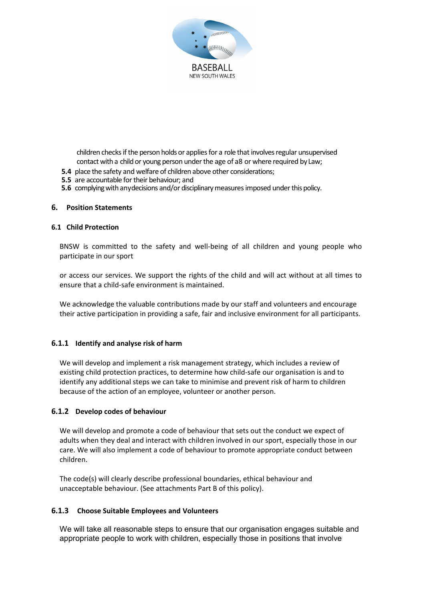

children checks if the person holds or applies for a role that involves regular unsupervised contact with a child or young person under the age of a8 or where required byLaw;

- **5.4** place the safety and welfare of children above other considerations;
- **5.5** are accountable for their behaviour; and
- **5.6** complying with anydecisions and/or disciplinary measures imposed under this policy.

#### **6. Position Statements**

#### **6.1 Child Protection**

BNSW is committed to the safety and well-being of all children and young people who participate in our sport

or access our services. We support the rights of the child and will act without at all times to ensure that a child-safe environment is maintained.

We acknowledge the valuable contributions made by our staff and volunteers and encourage their active participation in providing a safe, fair and inclusive environment for all participants.

### **6.1.1 Identify and analyse risk of harm**

We will develop and implement a risk management strategy, which includes a review of existing child protection practices, to determine how child-safe our organisation is and to identify any additional steps we can take to minimise and prevent risk of harm to children because of the action of an employee, volunteer or another person.

### **6.1.2 Develop codes of behaviour**

We will develop and promote a code of behaviour that sets out the conduct we expect of adults when they deal and interact with children involved in our sport, especially those in our care. We will also implement a code of behaviour to promote appropriate conduct between children.

The code(s) will clearly describe professional boundaries, ethical behaviour and unacceptable behaviour. (See attachments Part B of this policy).

#### **6.1.3 Choose Suitable Employees and Volunteers**

We will take all reasonable steps to ensure that our organisation engages suitable and appropriate people to work with children, especially those in positions that involve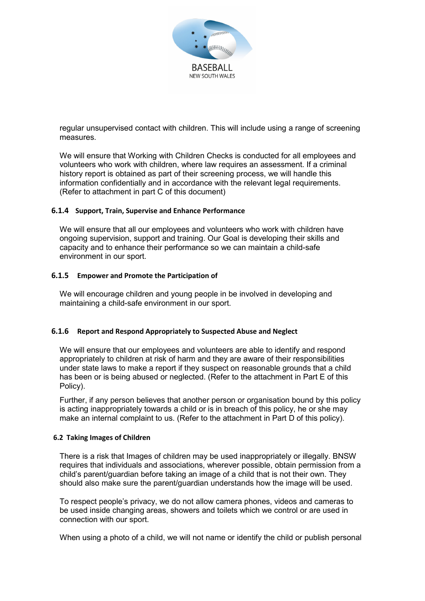

regular unsupervised contact with children. This will include using a range of screening measures.

We will ensure that Working with Children Checks is conducted for all employees and volunteers who work with children, where law requires an assessment. If a criminal history report is obtained as part of their screening process, we will handle this information confidentially and in accordance with the relevant legal requirements. (Refer to attachment in part C of this document)

### **6.1.4 Support, Train, Supervise and Enhance Performance**

We will ensure that all our employees and volunteers who work with children have ongoing supervision, support and training. Our Goal is developing their skills and capacity and to enhance their performance so we can maintain a child-safe environment in our sport.

#### **6.1.5 Empower and Promote the Participation of**

We will encourage children and young people in be involved in developing and maintaining a child-safe environment in our sport.

#### **6.1.6 Report and Respond Appropriately to Suspected Abuse and Neglect**

We will ensure that our employees and volunteers are able to identify and respond appropriately to children at risk of harm and they are aware of their responsibilities under state laws to make a report if they suspect on reasonable grounds that a child has been or is being abused or neglected. (Refer to the attachment in Part E of this Policy).

Further, if any person believes that another person or organisation bound by this policy is acting inappropriately towards a child or is in breach of this policy, he or she may make an internal complaint to us. (Refer to the attachment in Part D of this policy).

#### **6.2 Taking Images of Children**

There is a risk that Images of children may be used inappropriately or illegally. BNSW requires that individuals and associations, wherever possible, obtain permission from a child's parent/guardian before taking an image of a child that is not their own. They should also make sure the parent/guardian understands how the image will be used.

To respect people's privacy, we do not allow camera phones, videos and cameras to be used inside changing areas, showers and toilets which we control or are used in connection with our sport.

When using a photo of a child, we will not name or identify the child or publish personal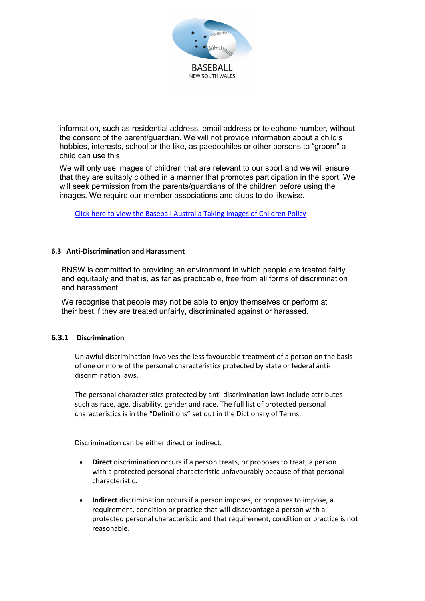

information, such as residential address, email address or telephone number, without the consent of the parent/guardian. We will not provide information about a child's hobbies, interests, school or the like, as paedophiles or other persons to "groom" a child can use this.

We will only use images of children that are relevant to our sport and we will ensure that they are suitably clothed in a manner that promotes participation in the sport. We will seek permission from the parents/guardians of the children before using the images. We require our member associations and clubs to do likewise.

[Click here to view the Baseball Australia Taking Images of Children Policy](http://www.baseball.com.au/Portals/27/Policies/ImagesOfChildren.pdf)

#### **6.3 Anti-Discrimination and Harassment**

BNSW is committed to providing an environment in which people are treated fairly and equitably and that is, as far as practicable, free from all forms of discrimination and harassment.

We recognise that people may not be able to enjoy themselves or perform at their best if they are treated unfairly, discriminated against or harassed.

### **6.3.1 Discrimination**

Unlawful discrimination involves the less favourable treatment of a person on the basis of one or more of the personal characteristics protected by state or federal antidiscrimination laws.

The personal characteristics protected by anti-discrimination laws include attributes such as race, age, disability, gender and race. The full list of protected personal characteristics is in the "Definitions" set out in the Dictionary of Terms.

Discrimination can be either direct or indirect.

- **Direct** discrimination occurs if a person treats, or proposes to treat, a person with a protected personal characteristic unfavourably because of that personal characteristic.
- **Indirect** discrimination occurs if a person imposes, or proposes to impose, a requirement, condition or practice that will disadvantage a person with a protected personal characteristic and that requirement, condition or practice is not reasonable.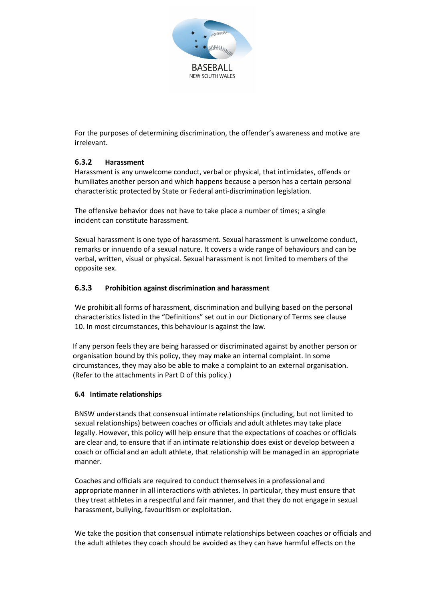

For the purposes of determining discrimination, the offender's awareness and motive are irrelevant.

### **6.3.2 Harassment**

Harassment is any unwelcome conduct, verbal or physical, that intimidates, offends or humiliates another person and which happens because a person has a certain personal characteristic protected by State or Federal anti-discrimination legislation.

The offensive behavior does not have to take place a number of times; a single incident can constitute harassment.

Sexual harassment is one type of harassment. Sexual harassment is unwelcome conduct, remarks or innuendo of a sexual nature. It covers a wide range of behaviours and can be verbal, written, visual or physical. Sexual harassment is not limited to members of the opposite sex.

### **6.3.3 Prohibition against discrimination and harassment**

We prohibit all forms of harassment, discrimination and bullying based on the personal characteristics listed in the "Definitions" set out in our Dictionary of Terms see clause 10. In most circumstances, this behaviour is against the law.

If any person feels they are being harassed or discriminated against by another person or organisation bound by this policy, they may make an internal complaint. In some circumstances, they may also be able to make a complaint to an external organisation. (Refer to the attachments in Part D of this policy.)

### **6.4 Intimate relationships**

BNSW understands that consensual intimate relationships (including, but not limited to sexual relationships) between coaches or officials and adult athletes may take place legally. However, this policy will help ensure that the expectations of coaches or officials are clear and, to ensure that if an intimate relationship does exist or develop between a coach or official and an adult athlete, that relationship will be managed in an appropriate manner.

Coaches and officials are required to conduct themselves in a professional and appropriatemanner in all interactions with athletes. In particular, they must ensure that they treat athletes in a respectful and fair manner, and that they do not engage in sexual harassment, bullying, favouritism or exploitation.

We take the position that consensual intimate relationships between coaches or officials and the adult athletes they coach should be avoided as they can have harmful effects on the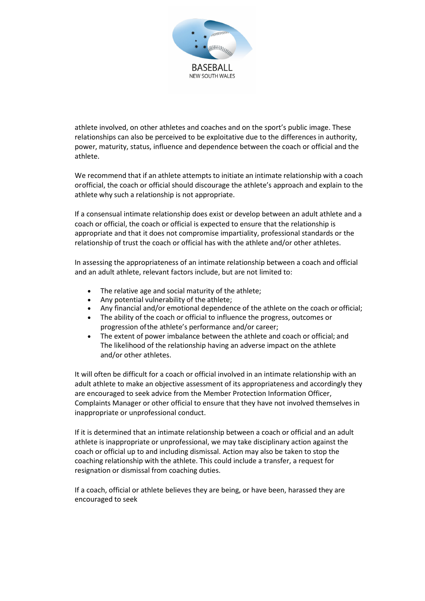

athlete involved, on other athletes and coaches and on the sport's public image. These relationships can also be perceived to be exploitative due to the differences in authority, power, maturity, status, influence and dependence between the coach or official and the athlete.

We recommend that if an athlete attempts to initiate an intimate relationship with a coach orofficial, the coach or official should discourage the athlete's approach and explain to the athlete why such a relationship is not appropriate.

If a consensual intimate relationship does exist or develop between an adult athlete and a coach or official, the coach or official is expected to ensure that the relationship is appropriate and that it does not compromise impartiality, professional standards or the relationship of trust the coach or official has with the athlete and/or other athletes.

In assessing the appropriateness of an intimate relationship between a coach and official and an adult athlete, relevant factors include, but are not limited to:

- The relative age and social maturity of the athlete;
- Any potential vulnerability of the athlete;
- Any financial and/or emotional dependence of the athlete on the coach or official;
- The ability of the coach or official to influence the progress, outcomes or progression ofthe athlete's performance and/or career;
- The extent of power imbalance between the athlete and coach or official; and The likelihood of the relationship having an adverse impact on the athlete and/or other athletes.

It will often be difficult for a coach or official involved in an intimate relationship with an adult athlete to make an objective assessment of its appropriateness and accordingly they are encouraged to seek advice from the Member Protection Information Officer, Complaints Manager or other official to ensure that they have not involved themselves in inappropriate or unprofessional conduct.

If it is determined that an intimate relationship between a coach or official and an adult athlete is inappropriate or unprofessional, we may take disciplinary action against the coach or official up to and including dismissal. Action may also be taken to stop the coaching relationship with the athlete. This could include a transfer, a request for resignation or dismissal from coaching duties.

If a coach, official or athlete believes they are being, or have been, harassed they are encouraged to seek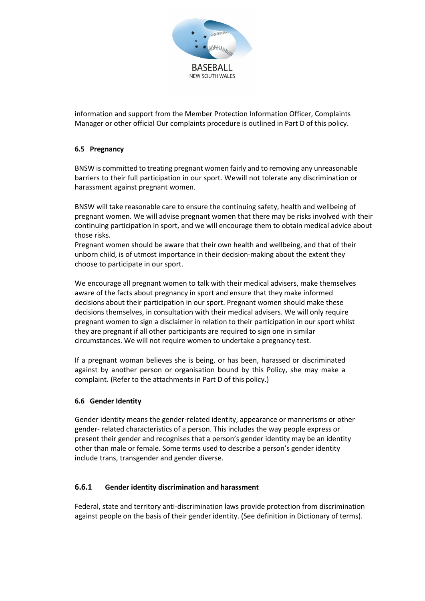

information and support from the Member Protection Information Officer, Complaints Manager or other official Our complaints procedure is outlined in Part D of this policy.

### **6.5 Pregnancy**

BNSW is committed to treating pregnant women fairly and to removing any unreasonable barriers to their full participation in our sport. Wewill not tolerate any discrimination or harassment against pregnant women.

BNSW will take reasonable care to ensure the continuing safety, health and wellbeing of pregnant women. We will advise pregnant women that there may be risks involved with their continuing participation in sport, and we will encourage them to obtain medical advice about those risks.

Pregnant women should be aware that their own health and wellbeing, and that of their unborn child, is of utmost importance in their decision-making about the extent they choose to participate in our sport.

We encourage all pregnant women to talk with their medical advisers, make themselves aware of the facts about pregnancy in sport and ensure that they make informed decisions about their participation in our sport. Pregnant women should make these decisions themselves, in consultation with their medical advisers. We will only require pregnant women to sign a disclaimer in relation to their participation in our sport whilst they are pregnant if all other participants are required to sign one in similar circumstances. We will not require women to undertake a pregnancy test.

If a pregnant woman believes she is being, or has been, harassed or discriminated against by another person or organisation bound by this Policy, she may make a complaint. (Refer to the attachments in Part D of this policy.)

### **6.6 Gender Identity**

Gender identity means the gender-related identity, appearance or mannerisms or other gender- related characteristics of a person. This includes the way people express or present their gender and recognises that a person's gender identity may be an identity other than male or female. Some terms used to describe a person's gender identity include trans, transgender and gender diverse.

### **6.6.1 Gender identity discrimination and harassment**

Federal, state and territory anti-discrimination laws provide protection from discrimination against people on the basis of their gender identity. (See definition in Dictionary of terms).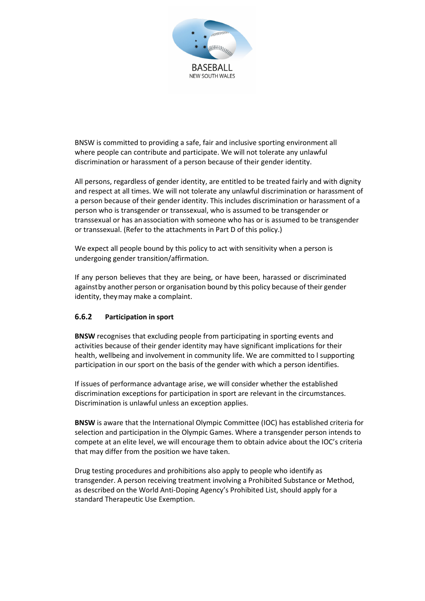

BNSW is committed to providing a safe, fair and inclusive sporting environment all where people can contribute and participate. We will not tolerate any unlawful discrimination or harassment of a person because of their gender identity.

All persons, regardless of gender identity, are entitled to be treated fairly and with dignity and respect at all times. We will not tolerate any unlawful discrimination or harassment of a person because of their gender identity. This includes discrimination or harassment of a person who is transgender or transsexual, who is assumed to be transgender or transsexual or has anassociation with someone who has or is assumed to be transgender or transsexual. (Refer to the attachments in Part D of this policy.)

We expect all people bound by this policy to act with sensitivity when a person is undergoing gender transition/affirmation.

If any person believes that they are being, or have been, harassed or discriminated againstby another person or organisation bound by this policy because of their gender identity, theymay make a complaint.

### **6.6.2 Participation in sport**

**BNSW** recognises that excluding people from participating in sporting events and activities because of their gender identity may have significant implications for their health, wellbeing and involvement in community life. We are committed to l supporting participation in our sport on the basis of the gender with which a person identifies.

If issues of performance advantage arise, we will consider whether the established discrimination exceptions for participation in sport are relevant in the circumstances. Discrimination is unlawful unless an exception applies.

**BNSW** is aware that the International Olympic Committee (IOC) has established criteria for selection and participation in the Olympic Games. Where a transgender person intends to compete at an elite level, we will encourage them to obtain advice about the IOC's criteria that may differ from the position we have taken.

Drug testing procedures and prohibitions also apply to people who identify as transgender. A person receiving treatment involving a Prohibited Substance or Method, as described on the World Anti-Doping Agency's Prohibited List, should apply for a standard Therapeutic Use Exemption.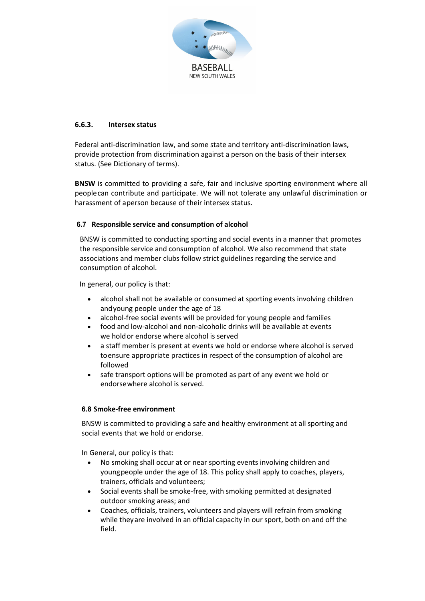

#### **6.6.3. Intersex status**

Federal anti-discrimination law, and some state and territory anti-discrimination laws, provide protection from discrimination against a person on the basis of their intersex status. (See Dictionary of terms).

**BNSW** is committed to providing a safe, fair and inclusive sporting environment where all peoplecan contribute and participate. We will not tolerate any unlawful discrimination or harassment of aperson because of their intersex status.

#### **6.7 Responsible service and consumption of alcohol**

BNSW is committed to conducting sporting and social events in a manner that promotes the responsible service and consumption of alcohol. We also recommend that state associations and member clubs follow strict guidelines regarding the service and consumption of alcohol.

In general, our policy is that:

- alcohol shall not be available or consumed at sporting events involving children andyoung people under the age of 18
- alcohol-free social events will be provided for young people and families
- food and low-alcohol and non-alcoholic drinks will be available at events we holdor endorse where alcohol is served
- a staff member is present at events we hold or endorse where alcohol is served toensure appropriate practices in respect of the consumption of alcohol are followed
- safe transport options will be promoted as part of any event we hold or endorsewhere alcohol is served.

#### **6.8 Smoke-free environment**

BNSW is committed to providing a safe and healthy environment at all sporting and social events that we hold or endorse.

In General, our policy is that:

- No smoking shall occur at or near sporting events involving children and youngpeople under the age of 18. This policy shall apply to coaches, players, trainers, officials and volunteers;
- Social events shall be smoke-free, with smoking permitted at designated outdoor smoking areas; and
- Coaches, officials, trainers, volunteers and players will refrain from smoking while theyare involved in an official capacity in our sport, both on and off the field.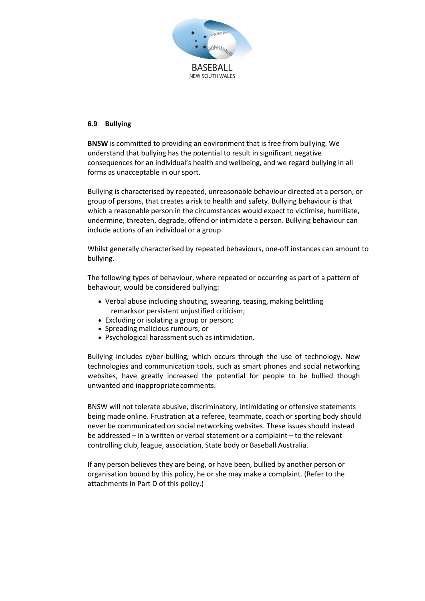

#### **6.9 Bullying**

**BNSW** is committed to providing an environment that is free from bullying. We understand that bullying has the potential to result in significant negative consequences for an individual's health and wellbeing, and we regard bullying in all forms as unacceptable in our sport.

Bullying is characterised by repeated, unreasonable behaviour directed at a person, or group of persons, that creates a risk to health and safety. Bullying behaviour is that which a reasonable person in the circumstances would expect to victimise, humiliate, undermine, threaten, degrade, offend or intimidate a person. Bullying behaviour can include actions of an individual or a group.

Whilst generally characterised by repeated behaviours, one-off instances can amount to bullying.

The following types of behaviour, where repeated or occurring as part of a pattern of behaviour, would be considered bullying:

- Verbal abuse including shouting, swearing, teasing, making belittling remarksor persistent unjustified criticism;
- Excluding or isolating a group or person;
- Spreading malicious rumours; or
- Psychological harassment such as intimidation.

Bullying includes cyber-bulling, which occurs through the use of technology. New technologies and communication tools, such as smart phones and social networking websites, have greatly increased the potential for people to be bullied though unwanted and inappropriatecomments.

BNSW will not tolerate abusive, discriminatory, intimidating or offensive statements being made online. Frustration at a referee, teammate, coach or sporting body should never be communicated on social networking websites. These issues should instead be addressed – in a written or verbal statement or a complaint – to the relevant controlling club, league, association, State body or Baseball Australia.

If any person believes they are being, or have been, bullied by another person or organisation bound by this policy, he or she may make a complaint. (Refer to the attachments in Part D of this policy.)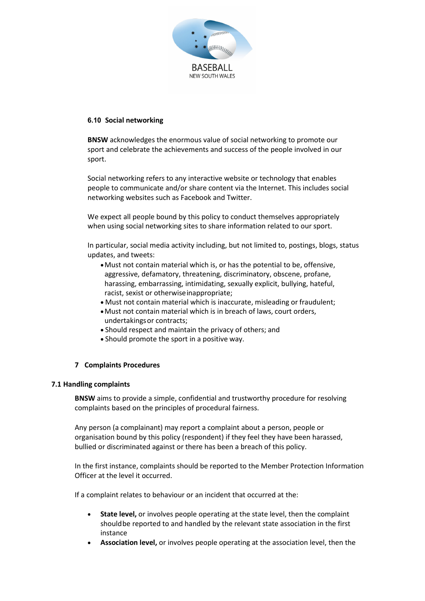

#### **6.10 Social networking**

**BNSW** acknowledges the enormous value of social networking to promote our sport and celebrate the achievements and success of the people involved in our sport.

Social networking refers to any interactive website or technology that enables people to communicate and/or share content via the Internet. This includes social networking websites such as Facebook and Twitter.

We expect all people bound by this policy to conduct themselves appropriately when using social networking sites to share information related to our sport.

In particular, social media activity including, but not limited to, postings, blogs, status updates, and tweets:

- •Must not contain material which is, or has the potential to be, offensive, aggressive, defamatory, threatening, discriminatory, obscene, profane, harassing, embarrassing, intimidating, sexually explicit, bullying, hateful, racist, sexist or otherwiseinappropriate;
- Must not contain material which is inaccurate, misleading or fraudulent;
- •Must not contain material which is in breach of laws, court orders, undertakingsor contracts;
- Should respect and maintain the privacy of others; and
- Should promote the sport in a positive way.

### **7 Complaints Procedures**

#### **7.1 Handling complaints**

**BNSW** aims to provide a simple, confidential and trustworthy procedure for resolving complaints based on the principles of procedural fairness.

Any person (a complainant) may report a complaint about a person, people or organisation bound by this policy (respondent) if they feel they have been harassed, bullied or discriminated against or there has been a breach of this policy.

In the first instance, complaints should be reported to the Member Protection Information Officer at the level it occurred.

If a complaint relates to behaviour or an incident that occurred at the:

- **State level,** or involves people operating at the state level, then the complaint shouldbe reported to and handled by the relevant state association in the first instance
- **Association level,** or involves people operating at the association level, then the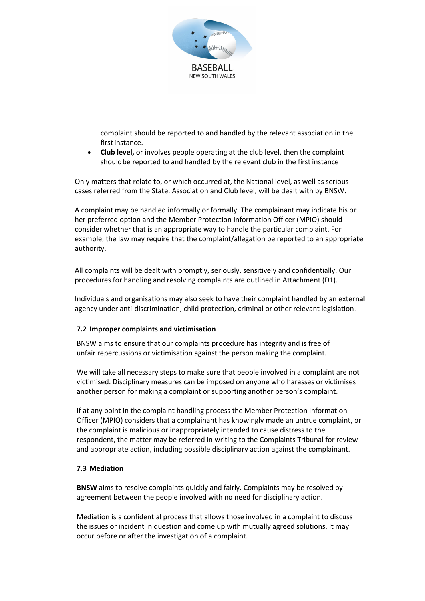

complaint should be reported to and handled by the relevant association in the first instance.

• **Club level,** or involves people operating at the club level, then the complaint shouldbe reported to and handled by the relevant club in the first instance

Only matters that relate to, or which occurred at, the National level, as well as serious cases referred from the State, Association and Club level, will be dealt with by BNSW.

A complaint may be handled informally or formally. The complainant may indicate his or her preferred option and the Member Protection Information Officer (MPIO) should consider whether that is an appropriate way to handle the particular complaint. For example, the law may require that the complaint/allegation be reported to an appropriate authority.

All complaints will be dealt with promptly, seriously, sensitively and confidentially. Our procedures for handling and resolving complaints are outlined in Attachment (D1).

Individuals and organisations may also seek to have their complaint handled by an external agency under anti-discrimination, child protection, criminal or other relevant legislation.

#### **7.2 Improper complaints and victimisation**

BNSW aims to ensure that our complaints procedure has integrity and is free of unfair repercussions or victimisation against the person making the complaint.

We will take all necessary steps to make sure that people involved in a complaint are not victimised. Disciplinary measures can be imposed on anyone who harasses or victimises another person for making a complaint or supporting another person's complaint.

If at any point in the complaint handling process the Member Protection Information Officer (MPIO) considers that a complainant has knowingly made an untrue complaint, or the complaint is malicious or inappropriately intended to cause distress to the respondent, the matter may be referred in writing to the Complaints Tribunal for review and appropriate action, including possible disciplinary action against the complainant.

#### **7.3 Mediation**

**BNSW** aims to resolve complaints quickly and fairly. Complaints may be resolved by agreement between the people involved with no need for disciplinary action.

Mediation is a confidential process that allows those involved in a complaint to discuss the issues or incident in question and come up with mutually agreed solutions. It may occur before or after the investigation of a complaint.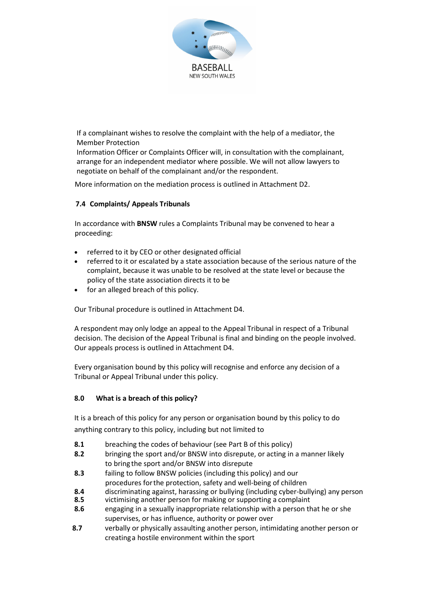

If a complainant wishes to resolve the complaint with the help of a mediator, the Member Protection

Information Officer or Complaints Officer will, in consultation with the complainant, arrange for an independent mediator where possible. We will not allow lawyers to negotiate on behalf of the complainant and/or the respondent.

More information on the mediation process is outlined in Attachment D2.

### **7.4 Complaints/ Appeals Tribunals**

In accordance with **BNSW** rules a Complaints Tribunal may be convened to hear a proceeding:

- referred to it by CEO or other designated official
- referred to it or escalated by a state association because of the serious nature of the complaint, because it was unable to be resolved at the state level or because the policy of the state association directs it to be
- for an alleged breach of this policy.

Our Tribunal procedure is outlined in Attachment D4.

A respondent may only lodge an appeal to the Appeal Tribunal in respect of a Tribunal decision. The decision of the Appeal Tribunal is final and binding on the people involved. Our appeals process is outlined in Attachment D4.

Every organisation bound by this policy will recognise and enforce any decision of a Tribunal or Appeal Tribunal under this policy.

#### **8.0 What is a breach of this policy?**

It is a breach of this policy for any person or organisation bound by this policy to do anything contrary to this policy, including but not limited to

- **8.1** breaching the codes of behaviour (see Part B of this policy)
- **8.2** bringing the sport and/or BNSW into disrepute, or acting in a manner likely to bring the sport and/or BNSW into disrepute
- **8.3** failing to follow BNSW policies (including this policy) and our procedures forthe protection, safety and well-being of children
- **8.4** discriminating against, harassing or bullying (including cyber-bullying) any person
- **8.5** victimising another person for making or supporting a complaint
- **8.6** engaging in a sexually inappropriate relationship with a person that he or she supervises, or has influence, authority or power over
- **8.7** verbally or physically assaulting another person, intimidating another person or creatinga hostile environment within the sport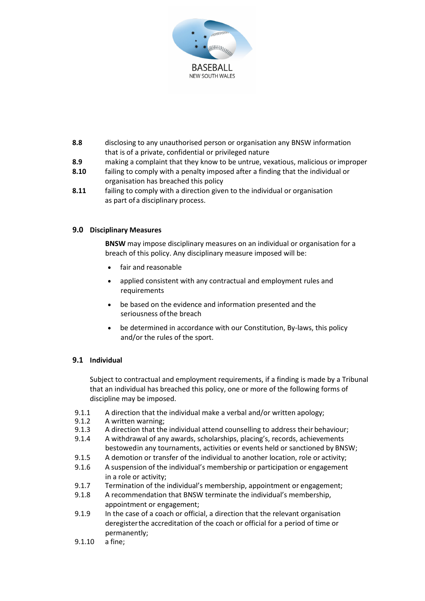

- **8.8** disclosing to any unauthorised person or organisation any BNSW information that is of a private, confidential or privileged nature
- **8.9** making a complaint that they know to be untrue, vexatious, malicious orimproper
- **8.10** failing to comply with a penalty imposed after a finding that the individual or organisation has breached this policy
- **8.11** failing to comply with a direction given to the individual or organisation as part ofa disciplinary process.

#### **9.0 Disciplinary Measures**

**BNSW** may impose disciplinary measures on an individual or organisation for a breach of this policy. Any disciplinary measure imposed will be:

- fair and reasonable
- applied consistent with any contractual and employment rules and requirements
- be based on the evidence and information presented and the seriousness ofthe breach
- be determined in accordance with our Constitution, By-laws, this policy and/or the rules of the sport.

### **9.1 Individual**

Subject to contractual and employment requirements, if a finding is made by a Tribunal that an individual has breached this policy, one or more of the following forms of discipline may be imposed.

- 9.1.1 A direction that the individual make a verbal and/or written apology;
- 9.1.2 A written warning;<br>9.1.3 A direction that the
- A direction that the individual attend counselling to address their behaviour;
- 9.1.4 A withdrawal of any awards, scholarships, placing's, records, achievements bestowedin any tournaments, activities or events held or sanctioned by BNSW;
- 9.1.5 A demotion or transfer of the individual to another location, role or activity;
- 9.1.6 A suspension of the individual's membership or participation or engagement in a role or activity;
- 9.1.7 Termination of the individual's membership, appointment or engagement;
- 9.1.8 A recommendation that BNSW terminate the individual's membership, appointment or engagement;
- 9.1.9 In the case of a coach or official, a direction that the relevant organisation deregisterthe accreditation of the coach or official for a period of time or permanently;
- 9.1.10 a fine;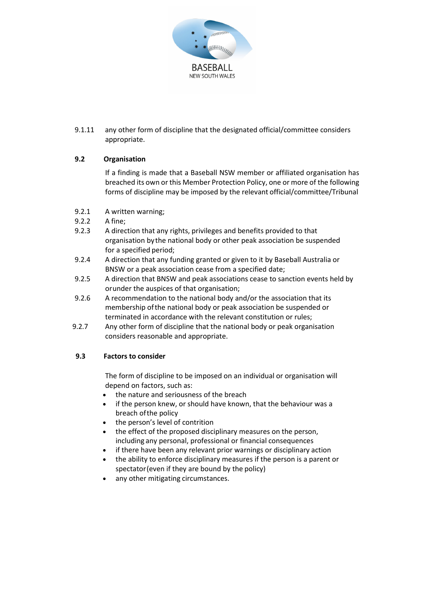

9.1.11 any other form of discipline that the designated official/committee considers appropriate.

### **9.2 Organisation**

If a finding is made that a Baseball NSW member or affiliated organisation has breached its own or this Member Protection Policy, one or more of the following forms of discipline may be imposed by the relevant official/committee/Tribunal

- 9.2.1 A written warning;
- 9.2.2 A fine;
- 9.2.3 A direction that any rights, privileges and benefits provided to that organisation bythe national body or other peak association be suspended for a specified period;
- 9.2.4 A direction that any funding granted or given to it by Baseball Australia or BNSW or a peak association cease from a specified date;
- 9.2.5 A direction that BNSW and peak associations cease to sanction events held by orunder the auspices of that organisation;
- 9.2.6 A recommendation to the national body and/or the association that its membership ofthe national body or peak association be suspended or terminated in accordance with the relevant constitution or rules;
- 9.2.7 Any other form of discipline that the national body or peak organisation considers reasonable and appropriate.

### **9.3 Factors to consider**

The form of discipline to be imposed on an individual or organisation will depend on factors, such as:

- the nature and seriousness of the breach
- if the person knew, or should have known, that the behaviour was a breach ofthe policy
- the person's level of contrition
- the effect of the proposed disciplinary measures on the person, including any personal, professional or financial consequences
- if there have been any relevant prior warnings or disciplinary action
- the ability to enforce disciplinary measures if the person is a parent or spectator(even if they are bound by the policy)
- any other mitigating circumstances.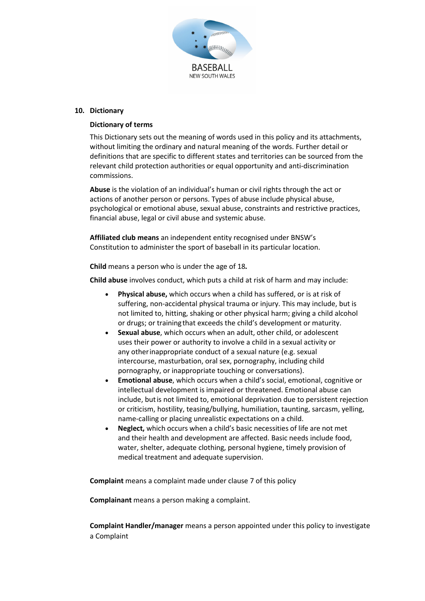

#### **10. Dictionary**

#### **Dictionary of terms**

This Dictionary sets out the meaning of words used in this policy and its attachments, without limiting the ordinary and natural meaning of the words. Further detail or definitions that are specific to different states and territories can be sourced from the relevant child protection authorities or equal opportunity and anti-discrimination commissions.

**Abuse** is the violation of an individual's human or civil rights through the act or actions of another person or persons. Types of abuse include physical abuse, psychological or emotional abuse, sexual abuse, constraints and restrictive practices, financial abuse, legal or civil abuse and systemic abuse.

**Affiliated club means** an independent entity recognised under BNSW's Constitution to administer the sport of baseball in its particular location.

**Child** means a person who is under the age of 18*.*

**Child abuse** involves conduct, which puts a child at risk of harm and may include:

- **Physical abuse,** which occurs when a child has suffered, or is at risk of suffering, non-accidental physical trauma or injury. This may include, but is not limited to, hitting, shaking or other physical harm; giving a child alcohol or drugs; or trainingthat exceeds the child's development or maturity.
- **Sexual abuse**, which occurs when an adult, other child, or adolescent uses their power or authority to involve a child in a sexual activity or any otherinappropriate conduct of a sexual nature (e.g. sexual intercourse, masturbation, oral sex, pornography, including child pornography, or inappropriate touching or conversations).
- **Emotional abuse**, which occurs when a child's social, emotional, cognitive or intellectual development is impaired or threatened. Emotional abuse can include, butis not limited to, emotional deprivation due to persistent rejection or criticism, hostility, teasing/bullying, humiliation, taunting, sarcasm, yelling, name-calling or placing unrealistic expectations on a child.
- **Neglect,** which occurs when a child's basic necessities of life are not met and their health and development are affected. Basic needs include food, water, shelter, adequate clothing, personal hygiene, timely provision of medical treatment and adequate supervision.

**Complaint** means a complaint made under clause 7 of this policy

**Complainant** means a person making a complaint.

**Complaint Handler/manager** means a person appointed under this policy to investigate a Complaint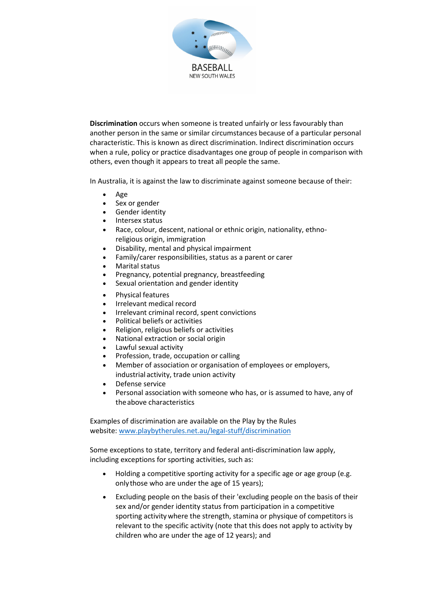

**Discrimination** occurs when someone is treated unfairly or less favourably than another person in the same or similar circumstances because of a particular personal characteristic. This is known as direct discrimination. Indirect discrimination occurs when a rule, policy or practice disadvantages one group of people in comparison with others, even though it appears to treat all people the same.

In Australia, it is against the law to discriminate against someone because of their:

- Age
- Sex or gender
- Gender identity
- Intersex status
- Race, colour, descent, national or ethnic origin, nationality, ethnoreligious origin, immigration
- Disability, mental and physical impairment
- Family/carer responsibilities, status as a parent or carer
- Marital status
- Pregnancy, potential pregnancy, breastfeeding
- Sexual orientation and gender identity
- Physical features
- Irrelevant medical record
- Irrelevant criminal record, spent convictions
- Political beliefs or activities
- Religion, religious beliefs or activities
- National extraction or social origin
- Lawful sexual activity
- Profession, trade, occupation or calling
- Member of association or organisation of employees or employers, industrial activity, trade union activity
- Defense service
- Personal association with someone who has, or is assumed to have, any of theabove characteristics

Examples of discrimination are available on the Play by the Rules website[: www.playbytherules.net.au/legal-stuff/discrimination](http://www.playbytherules.net.au/legal-stuff/discrimination)

Some exceptions to state, territory and federal anti-discrimination law apply, including exceptions for sporting activities, such as:

- Holding a competitive sporting activity for a specific age or age group (e.g. onlythose who are under the age of 15 years);
- Excluding people on the basis of their 'excluding people on the basis of their sex and/or gender identity status from participation in a competitive sporting activitywhere the strength, stamina or physique of competitors is relevant to the specific activity (note that this does not apply to activity by children who are under the age of 12 years); and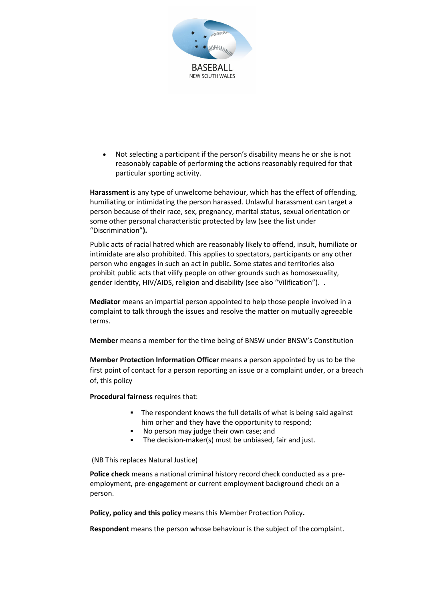

• Not selecting a participant if the person's disability means he or she is not reasonably capable of performing the actions reasonably required for that particular sporting activity.

**Harassment** is any type of unwelcome behaviour, which has the effect of offending, humiliating or intimidating the person harassed. Unlawful harassment can target a person because of their race, sex, pregnancy, marital status, sexual orientation or some other personal characteristic protected by law (see the list under "Discrimination"**).**

Public acts of racial hatred which are reasonably likely to offend, insult, humiliate or intimidate are also prohibited. This applies to spectators, participants or any other person who engages in such an act in public. Some states and territories also prohibit public acts that vilify people on other grounds such as homosexuality, gender identity, HIV/AIDS, religion and disability (see also "Vilification"). .

**Mediator** means an impartial person appointed to help those people involved in a complaint to talk through the issues and resolve the matter on mutually agreeable terms.

**Member** means a member for the time being of BNSW under BNSW's Constitution

**Member Protection Information Officer** means a person appointed by us to be the first point of contact for a person reporting an issue or a complaint under, or a breach of, this policy

**Procedural fairness** requires that:

- The respondent knows the full details of what is being said against him orher and they have the opportunity to respond;
- No person may judge their own case; and
- The decision-maker(s) must be unbiased, fair and just.

(NB This replaces Natural Justice)

**Police check** means a national criminal history record check conducted as a preemployment, pre-engagement or current employment background check on a person.

**Policy, policy and this policy** means this Member Protection Policy**.**

**Respondent** means the person whose behaviour is the subject of thecomplaint.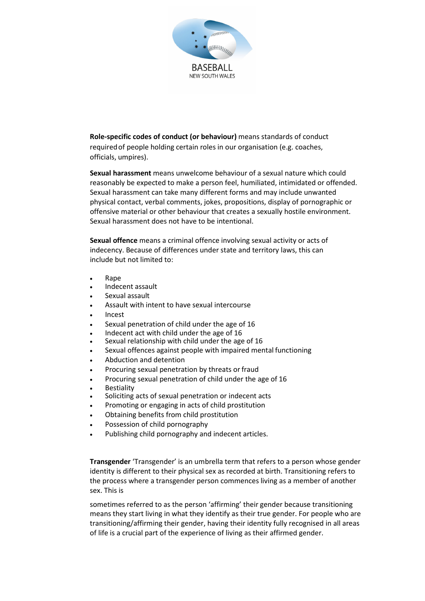

**Role-specific codes of conduct (or behaviour)** means standards of conduct requiredof people holding certain roles in our organisation (e.g. coaches, officials, umpires).

**Sexual harassment** means unwelcome behaviour of a sexual nature which could reasonably be expected to make a person feel, humiliated, intimidated or offended. Sexual harassment can take many different forms and may include unwanted physical contact, verbal comments, jokes, propositions, display of pornographic or offensive material or other behaviour that creates a sexually hostile environment. Sexual harassment does not have to be intentional.

**Sexual offence** means a criminal offence involving sexual activity or acts of indecency. Because of differences under state and territory laws, this can include but not limited to:

- Rape
- Indecent assault
- Sexual assault
- Assault with intent to have sexual intercourse
- Incest
- Sexual penetration of child under the age of 16
- Indecent act with child under the age of 16
- Sexual relationship with child under the age of 16
- Sexual offences against people with impaired mental functioning
- Abduction and detention
- Procuring sexual penetration by threats or fraud
- Procuring sexual penetration of child under the age of 16
- **Bestiality**
- Soliciting acts of sexual penetration or indecent acts
- Promoting or engaging in acts of child prostitution
- Obtaining benefits from child prostitution
- Possession of child pornography
- Publishing child pornography and indecent articles.

**Transgender** 'Transgender' is an umbrella term that refers to a person whose gender identity is different to their physical sex as recorded at birth. Transitioning refers to the process where a transgender person commences living as a member of another sex. This is

sometimes referred to as the person 'affirming' their gender because transitioning means they start living in what they identify as their true gender. For people who are transitioning/affirming their gender, having their identity fully recognised in all areas of life is a crucial part of the experience of living as their affirmed gender.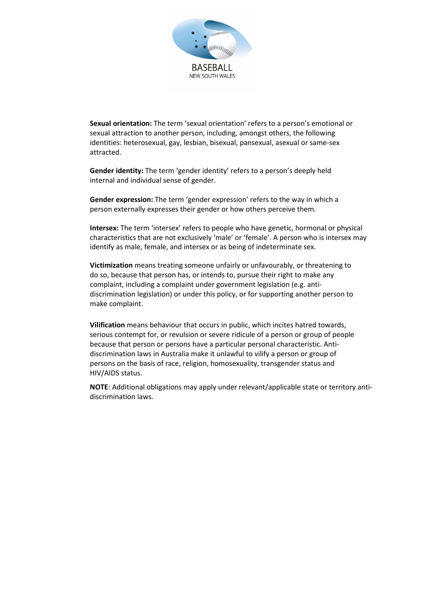

**Sexual orientation:** The term 'sexual orientation' refers to a person's emotional or sexual attraction to another person, including, amongst others, the following identities: heterosexual, gay, lesbian, bisexual, pansexual, asexual or same-sex attracted.

**Gender identity:** The term 'gender identity' refers to a person's deeply held internal and individual sense of gender.

**Gender expression:** The term 'gender expression' refers to the way in which a person externally expresses their gender or how others perceive them.

**Intersex:** The term 'intersex' refers to people who have genetic, hormonal or physical characteristics that are not exclusively 'male' or 'female'. A person who is intersex may identify as male, female, and intersex or as being of indeterminate sex.

**Victimization** means treating someone unfairly or unfavourably, or threatening to do so, because that person has, or intends to, pursue their right to make any complaint, including a complaint under government legislation (e.g. antidiscrimination legislation) or under this policy, or for supporting another person to make complaint.

**Vilification** means behaviour that occurs in public, which incites hatred towards, serious contempt for, or revulsion or severe ridicule of a person or group of people because that person or persons have a particular personal characteristic. Antidiscrimination laws in Australia make it unlawful to vilify a person or group of persons on the basis of race, religion, homosexuality, transgender status and HIV/AIDS status.

**NOTE**: Additional obligations may apply under relevant/applicable state or territory antidiscrimination laws.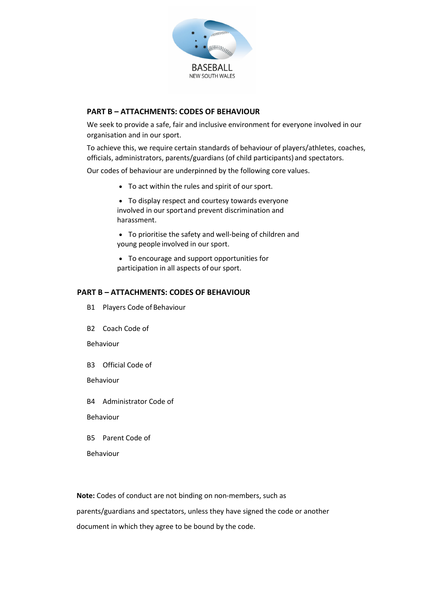

### **PART B – ATTACHMENTS: CODES OF BEHAVIOUR**

We seek to provide a safe, fair and inclusive environment for everyone involved in our organisation and in our sport.

To achieve this, we require certain standards of behaviour of players/athletes, coaches, officials, administrators, parents/guardians (of child participants) and spectators.

Our codes of behaviour are underpinned by the following core values.

- To act within the rules and spirit of our sport.
- To display respect and courtesy towards everyone involved in our sportand prevent discrimination and harassment.

• To prioritise the safety and well-being of children and young people involved in our sport.

• To encourage and support opportunities for participation in all aspects of our sport.

#### **PART B – ATTACHMENTS: CODES OF BEHAVIOUR**

B1 Players Code of Behaviour

B2 Coach Code of

Behaviour

B3 Official Code of

Behaviour

B4 Administrator Code of

Behaviour

B5 Parent Code of

Behaviour

**Note:** Codes of conduct are not binding on non-members, such as

parents/guardians and spectators, unless they have signed the code or another

document in which they agree to be bound by the code.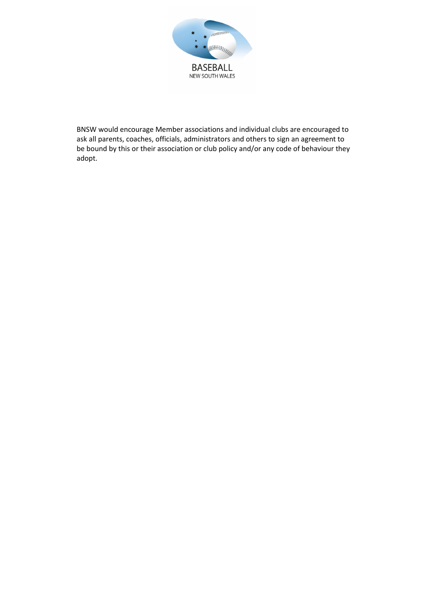

BNSW would encourage Member associations and individual clubs are encouraged to ask all parents, coaches, officials, administrators and others to sign an agreement to be bound by this or their association or club policy and/or any code of behaviour they adopt.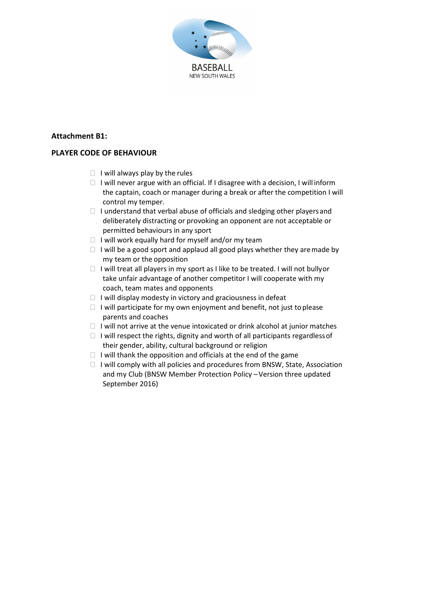

### **Attachment B1:**

### **PLAYER CODE OF BEHAVIOUR**

- $\Box$  I will always play by the rules
- $\Box$  I will never argue with an official. If I disagree with a decision, I will inform the captain, coach or manager during a break or after the competition I will control my temper.
- $\Box$  I understand that verbal abuse of officials and sledging other players and deliberately distracting or provoking an opponent are not acceptable or permitted behaviours in any sport
- $\Box$  I will work equally hard for myself and/or my team
- $\Box$  I will be a good sport and applaud all good plays whether they are made by my team or the opposition
- $\Box$  I will treat all players in my sport as I like to be treated. I will not bullyor take unfair advantage of another competitor I will cooperate with my coach, team mates and opponents
- $\Box$  I will display modesty in victory and graciousness in defeat
- $\Box$  I will participate for my own enjoyment and benefit, not just to please parents and coaches
- $\Box$  I will not arrive at the venue intoxicated or drink alcohol at junior matches
- $\Box$  I will respect the rights, dignity and worth of all participants regardless of their gender, ability, cultural background or religion
- $\Box$  I will thank the opposition and officials at the end of the game
- $\Box$  I will comply with all policies and procedures from BNSW, State, Association and my Club (BNSW Member Protection Policy –Version three updated September 2016)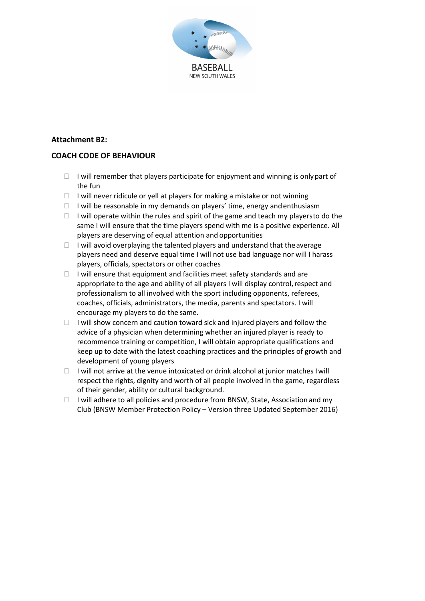

## **Attachment B2:**

# **COACH CODE OF BEHAVIOUR**

- $\Box$  I will remember that players participate for enjoyment and winning is only part of the fun
- $\Box$  I will never ridicule or yell at players for making a mistake or not winning
- $\Box$  I will be reasonable in my demands on players' time, energy and enthusiasm
- $\Box$  I will operate within the rules and spirit of the game and teach my playersto do the same I will ensure that the time players spend with me is a positive experience. All players are deserving of equal attention and opportunities
- $\Box$  I will avoid overplaying the talented players and understand that the average players need and deserve equal time I will not use bad language nor will I harass players, officials, spectators or other coaches
- $\Box$  I will ensure that equipment and facilities meet safety standards and are appropriate to the age and ability of all players I will display control, respect and professionalism to all involved with the sport including opponents, referees, coaches, officials, administrators, the media, parents and spectators. I will encourage my players to do the same.
- $\Box$  I will show concern and caution toward sick and injured players and follow the advice of a physician when determining whether an injured player is ready to recommence training or competition, I will obtain appropriate qualifications and keep up to date with the latest coaching practices and the principles of growth and development of young players
- $\Box$  I will not arrive at the venue intoxicated or drink alcohol at junior matches I will respect the rights, dignity and worth of all people involved in the game, regardless of their gender, ability or cultural background.
- $\Box$  I will adhere to all policies and procedure from BNSW, State, Association and my Club (BNSW Member Protection Policy – Version three Updated September 2016)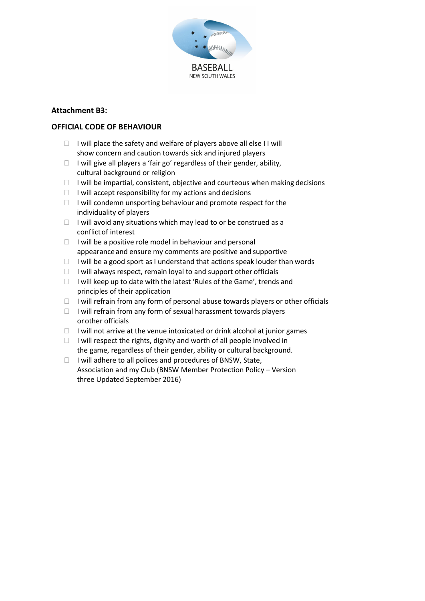

### **Attachment B3:**

### **OFFICIAL CODE OF BEHAVIOUR**

- $\Box$  I will place the safety and welfare of players above all else II will show concern and caution towards sick and injured players
- $\Box$  I will give all players a 'fair go' regardless of their gender, ability, cultural background or religion
- $\Box$  I will be impartial, consistent, objective and courteous when making decisions
- $\Box$  I will accept responsibility for my actions and decisions
- $\Box$  I will condemn unsporting behaviour and promote respect for the individuality of players
- $\Box$  I will avoid any situations which may lead to or be construed as a conflict of interest
- $\Box$  I will be a positive role model in behaviour and personal appearance and ensure my comments are positive and supportive
- $\Box$  I will be a good sport as I understand that actions speak louder than words
- $\Box$  I will always respect, remain loyal to and support other officials
- $\Box$  I will keep up to date with the latest 'Rules of the Game', trends and principles of their application
- $\Box$  I will refrain from any form of personal abuse towards players or other officials
- $\Box$  I will refrain from any form of sexual harassment towards players orother officials
- $\Box$  I will not arrive at the venue intoxicated or drink alcohol at junior games
- $\Box$  I will respect the rights, dignity and worth of all people involved in the game, regardless of their gender, ability or cultural background.
- $\Box$  I will adhere to all polices and procedures of BNSW, State, Association and my Club (BNSW Member Protection Policy – Version three Updated September 2016)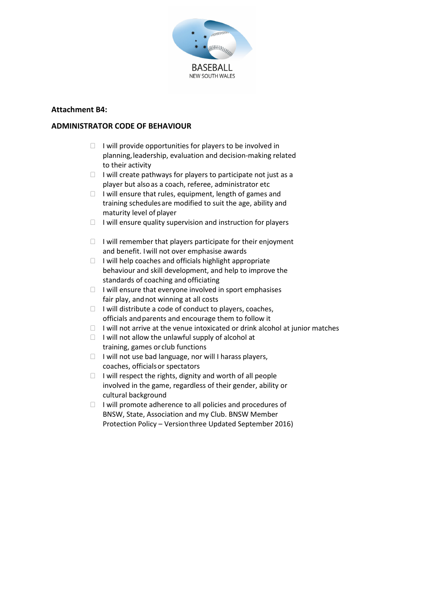

### **Attachment B4:**

### **ADMINISTRATOR CODE OF BEHAVIOUR**

- $\Box$  I will provide opportunities for players to be involved in planning,leadership, evaluation and decision-making related to their activity
- $\Box$  I will create pathways for players to participate not just as a player but alsoas a coach, referee, administrator etc
- $\Box$  I will ensure that rules, equipment, length of games and training schedulesare modified to suit the age, ability and maturity level of player
- $\Box$  I will ensure quality supervision and instruction for players
- $\Box$  I will remember that players participate for their enjoyment and benefit. Iwill not over emphasise awards
- $\Box$  I will help coaches and officials highlight appropriate behaviour and skill development, and help to improve the standards of coaching and officiating
- $\Box$  I will ensure that everyone involved in sport emphasises fair play, andnot winning at all costs
- $\Box$  I will distribute a code of conduct to players, coaches, officials andparents and encourage them to follow it
- $\Box$  I will not arrive at the venue intoxicated or drink alcohol at junior matches
- $\Box$  I will not allow the unlawful supply of alcohol at training, games or club functions
- $\Box$  I will not use bad language, nor will I harass players, coaches, officialsor spectators
- $\Box$  I will respect the rights, dignity and worth of all people involved in the game, regardless of their gender, ability or cultural background
- $\Box$  I will promote adherence to all policies and procedures of BNSW, State, Association and my Club. BNSW Member Protection Policy – Versionthree Updated September 2016)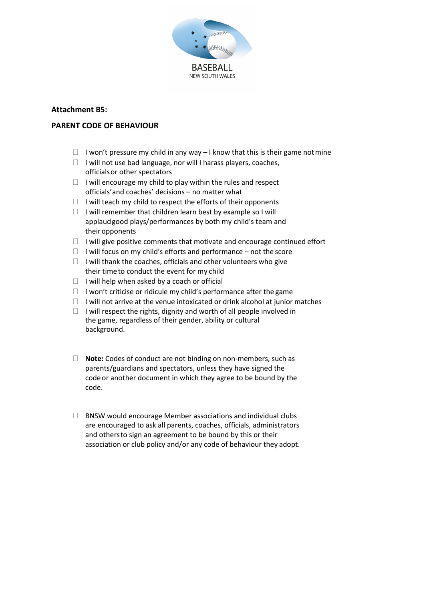

### **Attachment B5:**

### **PARENT CODE OF BEHAVIOUR**

- $\Box$  I won't pressure my child in any way I know that this is their game not mine
- $\Box$  I will not use bad language, nor will I harass players, coaches, officialsor other spectators
- $\Box$  I will encourage my child to play within the rules and respect officials'and coaches' decisions – no matter what
- $\Box$  I will teach my child to respect the efforts of their opponents
- $\Box$  I will remember that children learn best by example so I will applaudgood plays/performances by both my child's team and theiropponents
- $\Box$  I will give positive comments that motivate and encourage continued effort
- $\Box$  I will focus on my child's efforts and performance not the score
- $\Box$  I will thank the coaches, officials and other volunteers who give their timeto conduct the event for my child
- $\Box$  I will help when asked by a coach or official
- $\Box$  I won't criticise or ridicule my child's performance after the game
- $\Box$  I will not arrive at the venue intoxicated or drink alcohol at junior matches
- $\Box$  I will respect the rights, dignity and worth of all people involved in the game, regardless of their gender, ability or cultural background.
- □ **Note:** Codes of conduct are not binding on non-members, such as parents/guardians and spectators, unless they have signed the codeor another document in which they agree to be bound by the code.
- $\Box$  BNSW would encourage Member associations and individual clubs are encouraged to ask all parents, coaches, officials, administrators and othersto sign an agreement to be bound by this or their association or club policy and/or any code of behaviour they adopt.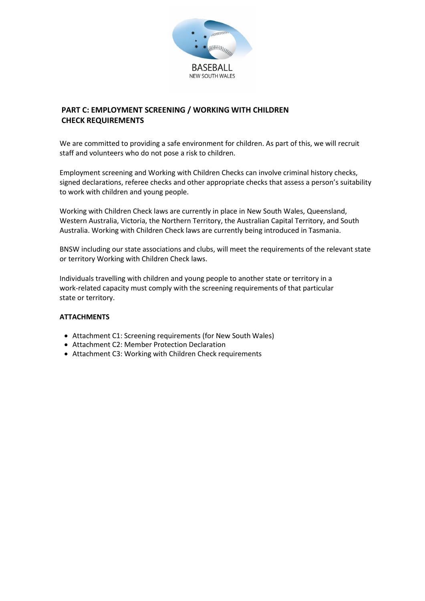

# **PART C: EMPLOYMENT SCREENING / WORKING WITH CHILDREN CHECK REQUIREMENTS**

We are committed to providing a safe environment for children. As part of this, we will recruit staff and volunteers who do not pose a risk to children.

Employment screening and Working with Children Checks can involve criminal history checks, signed declarations, referee checks and other appropriate checks that assess a person's suitability to work with children and young people.

Working with Children Check laws are currently in place in New South Wales, Queensland, Western Australia, Victoria, the Northern Territory, the Australian Capital Territory, and South Australia. Working with Children Check laws are currently being introduced in Tasmania.

BNSW including our state associations and clubs, will meet the requirements of the relevant state or territory Working with Children Check laws.

Individuals travelling with children and young people to another state or territory in a work-related capacity must comply with the screening requirements of that particular state or territory.

#### **ATTACHMENTS**

- Attachment C1: Screening requirements (for New South Wales)
- Attachment C2: Member Protection Declaration
- Attachment C3: Working with Children Check requirements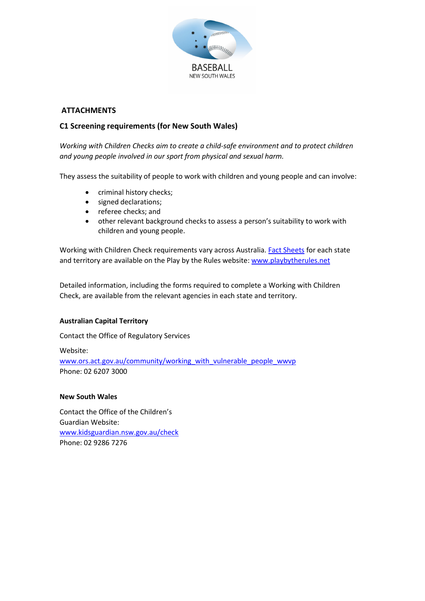

### **ATTACHMENTS**

## **C1 Screening requirements (for New South Wales)**

*Working with Children Checks aim to create a child-safe environment and to protect children and young people involved in our sport from physical and sexual harm.*

They assess the suitability of people to work with children and young people and can involve:

- criminal history checks;
- signed declarations;
- referee checks; and
- other relevant background checks to assess a person's suitability to work with children and young people.

Working with Children Check requirements vary across Australia. [Fact Sheets](http://www.playbytherules.net.au/legal-stuff/child-protection/child-protection-laws-explained/screening) for each state and territory are available on the Play by the Rules website: [www.playbytherules.net](http://www.playbytherules.net/)

Detailed information, including the forms required to complete a Working with Children Check, are available from the relevant agencies in each state and territory.

### **Australian Capital Territory**

Contact the Office of Regulatory Services

Website: [www.ors.act.gov.au/community/working\\_with\\_vulnerable\\_people\\_wwvp](http://www.ors.act.gov.au/community/working_with_vulnerable_people_wwvp) Phone: 02 6207 3000

#### **New South Wales**

Contact the Office of the Children's Guardian Website: [www.kidsguardian.nsw.gov.au/](http://www.kidsguardian.nsw.gov.au/)check Phone: 02 9286 7276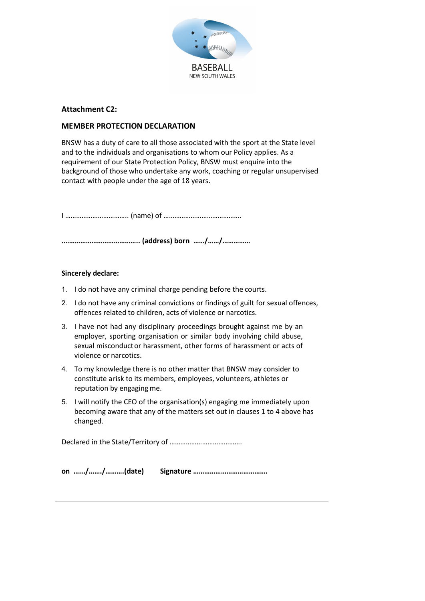

### **Attachment C2:**

### **MEMBER PROTECTION DECLARATION**

BNSW has a duty of care to all those associated with the sport at the State level and to the individuals and organisations to whom our Policy applies. As a requirement of our State Protection Policy, BNSW must enquire into the background of those who undertake any work, coaching or regular unsupervised contact with people under the age of 18 years.

I …………………………….. (name) of …………………………………….

**.………………………………….. (address) born ……/……/……………**

#### **Sincerely declare:**

- 1. I do not have any criminal charge pending before the courts.
- 2. I do not have any criminal convictions or findings of guilt for sexual offences, offences related to children, acts of violence or narcotics.
- 3. I have not had any disciplinary proceedings brought against me by an employer, sporting organisation or similar body involving child abuse, sexual misconductor harassment, other forms of harassment or acts of violence or narcotics.
- 4. To my knowledge there is no other matter that BNSW may consider to constitute arisk to its members, employees, volunteers, athletes or reputation by engaging me.
- 5. I will notify the CEO of the organisation(s) engaging me immediately upon becoming aware that any of the matters set out in clauses 1 to 4 above has changed.

Declared in the State/Territory of ………………………………….

**on ….../……./……….(date) Signature ………………………………….**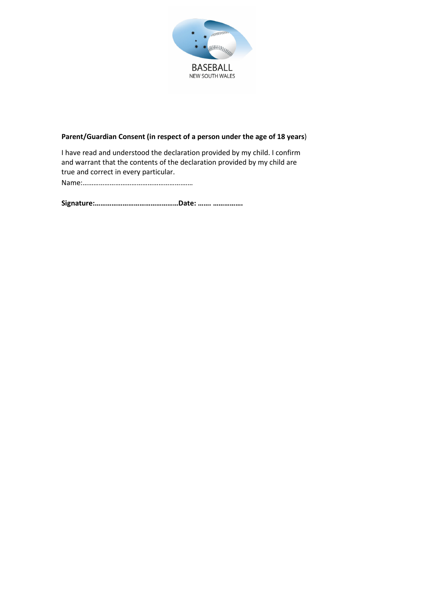

### **Parent/Guardian Consent (in respect of a person under the age of 18 years**)

I have read and understood the declaration provided by my child. I confirm and warrant that the contents of the declaration provided by my child are true and correct in every particular.

Name:……………………………………………….……

**Signature:………………………………………Date: ……. …………….**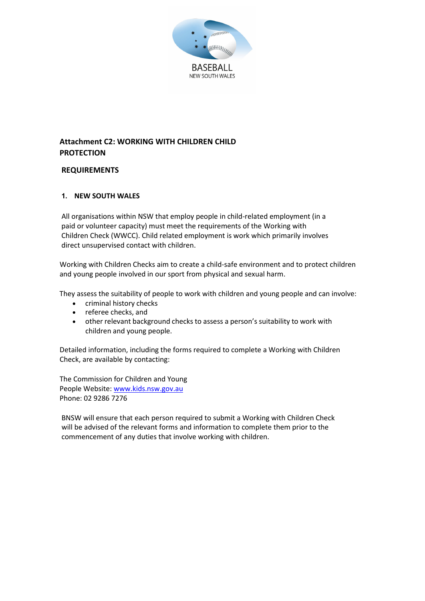

# **Attachment C2: WORKING WITH CHILDREN CHILD PROTECTION**

### **REQUIREMENTS**

### **1. NEW SOUTH WALES**

All organisations within NSW that employ people in child-related employment (in a paid or volunteer capacity) must meet the requirements of the Working with Children Check (WWCC). Child related employment is work which primarily involves direct unsupervised contact with children.

Working with Children Checks aim to create a child-safe environment and to protect children and young people involved in our sport from physical and sexual harm.

They assess the suitability of people to work with children and young people and can involve:

- criminal history checks
- referee checks, and
- other relevant background checks to assess a person's suitability to work with children and young people.

Detailed information, including the forms required to complete a Working with Children Check, are available by contacting:

The Commission for Children and Young People Website: [www.kids.nsw.gov.au](http://www.kids.nsw.gov.au/) Phone: 02 9286 7276

BNSW will ensure that each person required to submit a Working with Children Check will be advised of the relevant forms and information to complete them prior to the commencement of any duties that involve working with children.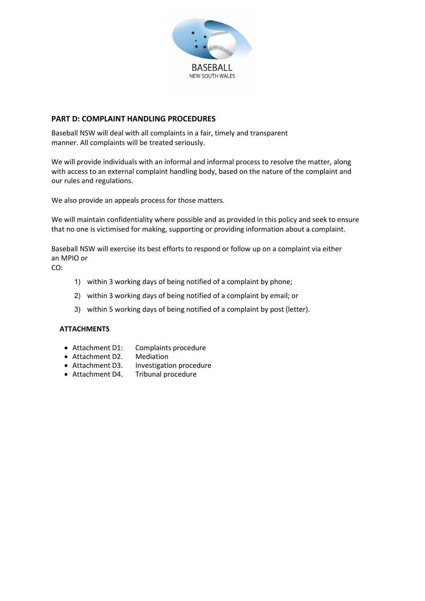

### **PART D: COMPLAINT HANDLING PROCEDURES**

Baseball NSW will deal with all complaints in a fair, timely and transparent manner. All complaints will be treated seriously.

We will provide individuals with an informal and informal process to resolve the matter, along with access to an external complaint handling body, based on the nature of the complaint and our rules and regulations.

We also provide an appeals process for those matters.

We will maintain confidentiality where possible and as provided in this policy and seek to ensure that no one is victimised for making, supporting or providing information about a complaint.

Baseball NSW will exercise its best efforts to respond or follow up on a complaint via either an MPIO or

CO:

- 1) within 3 working days of being notified of a complaint by phone;
- 2) within 3 working days of being notified of a complaint by email; or
- 3) within 5 working days of being notified of a complaint by post (letter).

#### **ATTACHMENTS**

- Attachment D1: Complaints procedure
- Attachment D2. Mediation
- Attachment D3. Investigation procedure
- Attachment D4. Tribunal procedure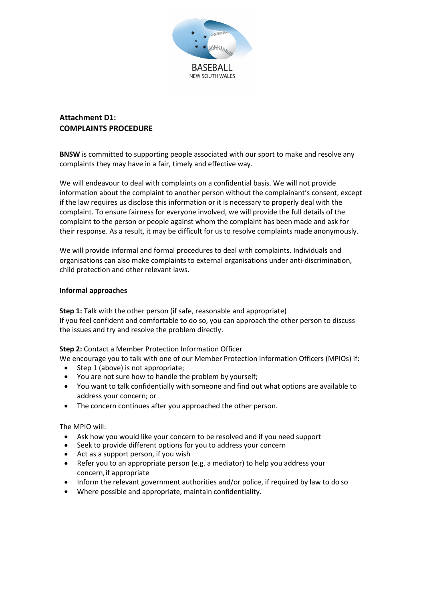

# **Attachment D1: COMPLAINTS PROCEDURE**

**BNSW** is committed to supporting people associated with our sport to make and resolve any complaints they may have in a fair, timely and effective way.

We will endeavour to deal with complaints on a confidential basis. We will not provide information about the complaint to another person without the complainant's consent, except if the law requires us disclose this information or it is necessary to properly deal with the complaint. To ensure fairness for everyone involved, we will provide the full details of the complaint to the person or people against whom the complaint has been made and ask for their response. As a result, it may be difficult for us to resolve complaints made anonymously.

We will provide informal and formal procedures to deal with complaints. Individuals and organisations can also make complaints to external organisations under anti-discrimination, child protection and other relevant laws.

#### **Informal approaches**

**Step 1:** Talk with the other person (if safe, reasonable and appropriate) If you feel confident and comfortable to do so, you can approach the other person to discuss the issues and try and resolve the problem directly.

**Step 2:** Contact a Member Protection Information Officer

We encourage you to talk with one of our Member Protection Information Officers (MPIOs) if:

- Step 1 (above) is not appropriate;
- You are not sure how to handle the problem by yourself;
- You want to talk confidentially with someone and find out what options are available to address your concern; or
- The concern continues after you approached the other person.

The MPIO will:

- Ask how you would like your concern to be resolved and if you need support<br>• Seek to provide different options for you to address your concern
- Seek to provide different options for you to address your concern
- Act as a support person, if you wish
- Refer you to an appropriate person (e.g. a mediator) to help you address your concern,if appropriate
- Inform the relevant government authorities and/or police, if required by law to do so
- Where possible and appropriate, maintain confidentiality.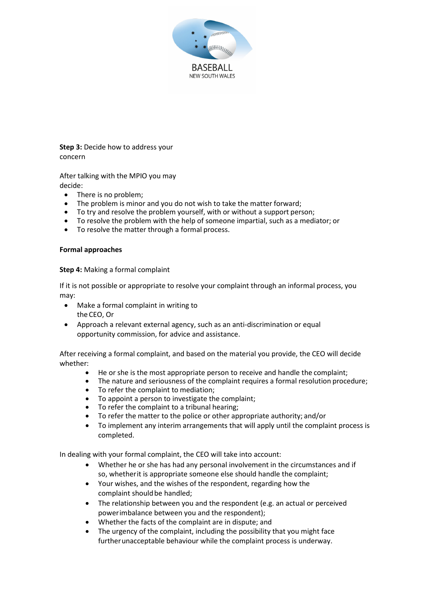

**Step 3:** Decide how to address your concern

After talking with the MPIO you may decide:

- There is no problem;
- The problem is minor and you do not wish to take the matter forward;
- To try and resolve the problem yourself, with or without a support person;
- To resolve the problem with the help of someone impartial, such as a mediator; or
- To resolve the matter through a formal process.

#### **Formal approaches**

#### **Step 4:** Making a formal complaint

If it is not possible or appropriate to resolve your complaint through an informal process, you may:

- Make a formal complaint in writing to the CEO, Or
- Approach a relevant external agency, such as an anti-discrimination or equal opportunity commission, for advice and assistance.

After receiving a formal complaint, and based on the material you provide, the CEO will decide whether:

- He or she is the most appropriate person to receive and handle the complaint;
- The nature and seriousness of the complaint requires a formal resolution procedure;
- To refer the complaint to mediation;
- To appoint a person to investigate the complaint;
- To refer the complaint to a tribunal hearing;
- To refer the matter to the police or other appropriate authority; and/or
- To implement any interim arrangements that will apply until the complaint process is completed.

In dealing with your formal complaint, the CEO will take into account:

- Whether he or she has had any personal involvement in the circumstances and if so, whetherit is appropriate someone else should handle the complaint;
- Your wishes, and the wishes of the respondent, regarding how the complaint should be handled:
- The relationship between you and the respondent (e.g. an actual or perceived powerimbalance between you and the respondent);
- Whether the facts of the complaint are in dispute; and
- The urgency of the complaint, including the possibility that you might face furtherunacceptable behaviour while the complaint process is underway.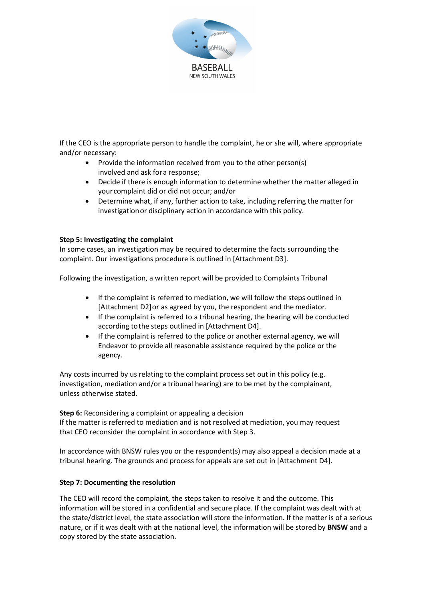

If the CEO is the appropriate person to handle the complaint, he or she will, where appropriate and/or necessary:

- Provide the information received from you to the other person(s) involved and ask fora response;
- Decide if there is enough information to determine whether the matter alleged in yourcomplaint did or did not occur; and/or
- Determine what, if any, further action to take, including referring the matter for investigationor disciplinary action in accordance with this policy.

#### **Step 5: Investigating the complaint**

In some cases, an investigation may be required to determine the facts surrounding the complaint. Our investigations procedure is outlined in [Attachment D3].

Following the investigation, a written report will be provided to Complaints Tribunal

- If the complaint is referred to mediation, we will follow the steps outlined in [Attachment D2]or as agreed by you, the respondent and the mediator.
- If the complaint is referred to a tribunal hearing, the hearing will be conducted according tothe steps outlined in [Attachment D4].
- If the complaint is referred to the police or another external agency, we will Endeavor to provide all reasonable assistance required by the police or the agency.

Any costs incurred by us relating to the complaint process set out in this policy (e.g. investigation, mediation and/or a tribunal hearing) are to be met by the complainant, unless otherwise stated.

**Step 6:** Reconsidering a complaint or appealing a decision If the matter is referred to mediation and is not resolved at mediation, you may request that CEO reconsider the complaint in accordance with Step 3.

In accordance with BNSW rules you or the respondent(s) may also appeal a decision made at a tribunal hearing. The grounds and process for appeals are set out in [Attachment D4].

#### **Step 7: Documenting the resolution**

The CEO will record the complaint, the steps taken to resolve it and the outcome. This information will be stored in a confidential and secure place. If the complaint was dealt with at the state/district level, the state association will store the information. If the matter is of a serious nature, or if it was dealt with at the national level, the information will be stored by **BNSW** and a copy stored by the state association.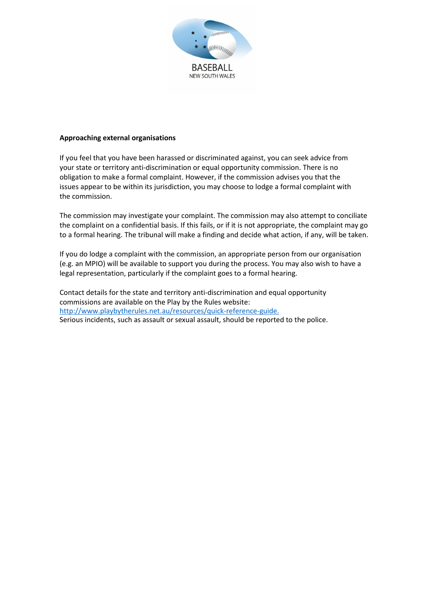

#### **Approaching external organisations**

If you feel that you have been harassed or discriminated against, you can seek advice from your state or territory anti-discrimination or equal opportunity commission. There is no obligation to make a formal complaint. However, if the commission advises you that the issues appear to be within its jurisdiction, you may choose to lodge a formal complaint with the commission.

The commission may investigate your complaint. The commission may also attempt to conciliate the complaint on a confidential basis. If this fails, or if it is not appropriate, the complaint may go to a formal hearing. The tribunal will make a finding and decide what action, if any, will be taken.

If you do lodge a complaint with the commission, an appropriate person from our organisation (e.g. an MPIO) will be available to support you during the process. You may also wish to have a legal representation, particularly if the complaint goes to a formal hearing.

Contact details for the state and territory anti-discrimination and equal opportunity commissions are available on the Play by the Rules website: [http://www.playbytherules.net.au/resources/quick-reference-guide.](http://www.playbytherules.net.au/resources/quick-reference-guide) Serious incidents, such as assault or sexual assault, should be reported to the police.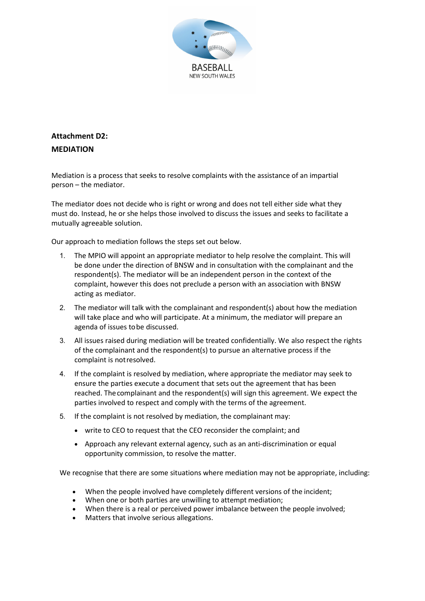

# **Attachment D2: MEDIATION**

Mediation is a process that seeks to resolve complaints with the assistance of an impartial person – the mediator.

The mediator does not decide who is right or wrong and does not tell either side what they must do. Instead, he or she helps those involved to discuss the issues and seeks to facilitate a mutually agreeable solution.

Our approach to mediation follows the steps set out below.

- 1. The MPIO will appoint an appropriate mediator to help resolve the complaint. This will be done under the direction of BNSW and in consultation with the complainant and the respondent(s). The mediator will be an independent person in the context of the complaint, however this does not preclude a person with an association with BNSW acting as mediator.
- 2. The mediator will talk with the complainant and respondent(s) about how the mediation will take place and who will participate. At a minimum, the mediator will prepare an agenda of issues tobe discussed.
- 3. All issues raised during mediation will be treated confidentially. We also respect the rights of the complainant and the respondent(s) to pursue an alternative process if the complaint is notresolved.
- 4. If the complaint is resolved by mediation, where appropriate the mediator may seek to ensure the parties execute a document that sets out the agreement that has been reached. Thecomplainant and the respondent(s) will sign this agreement. We expect the parties involved to respect and comply with the terms of the agreement.
- 5. If the complaint is not resolved by mediation, the complainant may:
	- write to CEO to request that the CEO reconsider the complaint; and
	- Approach any relevant external agency, such as an anti-discrimination or equal opportunity commission, to resolve the matter.

We recognise that there are some situations where mediation may not be appropriate, including:

- When the people involved have completely different versions of the incident;
- When one or both parties are unwilling to attempt mediation;
- When there is a real or perceived power imbalance between the people involved;
- Matters that involve serious allegations.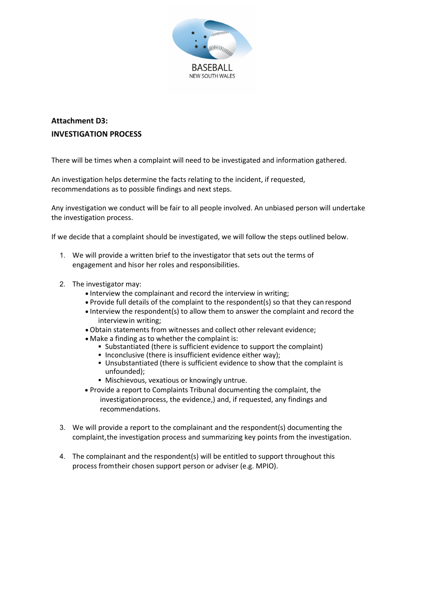

# **Attachment D3: INVESTIGATION PROCESS**

There will be times when a complaint will need to be investigated and information gathered.

An investigation helps determine the facts relating to the incident, if requested, recommendations as to possible findings and next steps.

Any investigation we conduct will be fair to all people involved. An unbiased person will undertake the investigation process.

If we decide that a complaint should be investigated, we will follow the steps outlined below.

- 1. We will provide a written brief to the investigator that sets out the terms of engagement and hisor her roles and responsibilities.
- 2. The investigator may:
	- Interview the complainant and record the interview in writing;
	- Provide full details of the complaint to the respondent(s) so that they can respond
	- Interview the respondent(s) to allow them to answer the complaint and record the interviewin writing;
	- Obtain statements from witnesses and collect other relevant evidence;
	- Make a finding as to whether the complaint is:
		- Substantiated (there is sufficient evidence to support the complaint)
		- **Inconclusive (there is insufficient evidence either way);**
		- Unsubstantiated (there is sufficient evidence to show that the complaint is unfounded);
		- Mischievous, vexatious or knowingly untrue.
	- Provide a report to Complaints Tribunal documenting the complaint, the investigationprocess, the evidence,) and, if requested, any findings and recommendations.
- 3. We will provide a report to the complainant and the respondent(s) documenting the complaint,the investigation process and summarizing key points from the investigation.
- 4. The complainant and the respondent(s) will be entitled to support throughout this process fromtheir chosen support person or adviser (e.g. MPIO).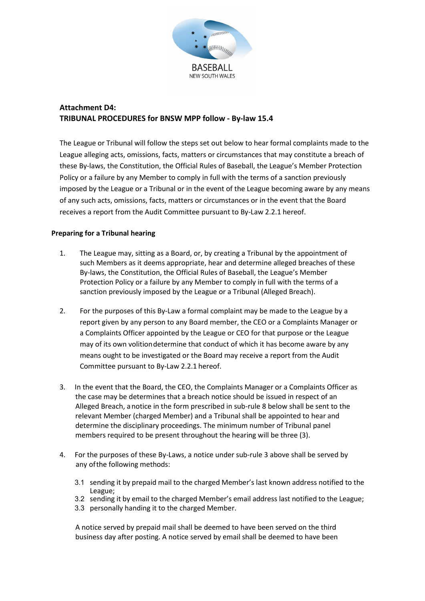

# **Attachment D4: TRIBUNAL PROCEDURES for BNSW MPP follow - By-law 15.4**

The League or Tribunal will follow the steps set out below to hear formal complaints made to the League alleging acts, omissions, facts, matters or circumstances that may constitute a breach of these By-laws, the Constitution, the Official Rules of Baseball, the League's Member Protection Policy or a failure by any Member to comply in full with the terms of a sanction previously imposed by the League or a Tribunal or in the event of the League becoming aware by any means of any such acts, omissions, facts, matters or circumstances or in the event that the Board receives a report from the Audit Committee pursuant to By-Law 2.2.1 hereof.

### **Preparing for a Tribunal hearing**

- 1. The League may, sitting as a Board, or, by creating a Tribunal by the appointment of such Members as it deems appropriate, hear and determine alleged breaches of these By-laws, the Constitution, the Official Rules of Baseball, the League's Member Protection Policy or a failure by any Member to comply in full with the terms of a sanction previously imposed by the League or a Tribunal (Alleged Breach).
- 2. For the purposes of this By-Law a formal complaint may be made to the League by a report given by any person to any Board member, the CEO or a Complaints Manager or a Complaints Officer appointed by the League or CEO for that purpose or the League may of its own volitiondetermine that conduct of which it has become aware by any means ought to be investigated or the Board may receive a report from the Audit Committee pursuant to By-Law 2.2.1 hereof.
- 3. In the event that the Board, the CEO, the Complaints Manager or a Complaints Officer as the case may be determines that a breach notice should be issued in respect of an Alleged Breach, anotice in the form prescribed in sub-rule 8 below shall be sent to the relevant Member (charged Member) and a Tribunal shall be appointed to hear and determine the disciplinary proceedings. The minimum number of Tribunal panel members required to be present throughout the hearing will be three (3).
- 4. For the purposes of these By-Laws, a notice under sub-rule 3 above shall be served by any ofthe following methods:
	- 3.1 sending it by prepaid mail to the charged Member's last known address notified to the League;
	- 3.2 sending it by email to the charged Member's email address last notified to the League;
	- 3.3 personally handing it to the charged Member.

A notice served by prepaid mail shall be deemed to have been served on the third business day after posting. A notice served by email shall be deemed to have been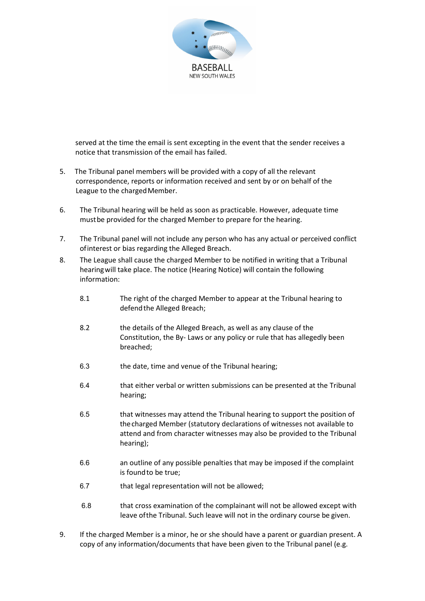

served at the time the email is sent excepting in the event that the sender receives a notice that transmission of the email has failed.

- 5. The Tribunal panel members will be provided with a copy of all the relevant correspondence, reports or information received and sent by or on behalf of the League to the chargedMember.
- 6. The Tribunal hearing will be held as soon as practicable. However, adequate time mustbe provided for the charged Member to prepare for the hearing.
- 7. The Tribunal panel will not include any person who has any actual or perceived conflict ofinterest or bias regarding the Alleged Breach.
- 8. The League shall cause the charged Member to be notified in writing that a Tribunal hearingwill take place. The notice (Hearing Notice) will contain the following information:
	- 8.1 The right of the charged Member to appear at the Tribunal hearing to defendthe Alleged Breach;
	- 8.2 the details of the Alleged Breach, as well as any clause of the Constitution, the By- Laws or any policy or rule that has allegedly been breached;
	- 6.3 the date, time and venue of the Tribunal hearing;
	- 6.4 that either verbal or written submissions can be presented at the Tribunal hearing;
	- 6.5 that witnesses may attend the Tribunal hearing to support the position of thecharged Member (statutory declarations of witnesses not available to attend and from character witnesses may also be provided to the Tribunal hearing);
	- 6.6 an outline of any possible penalties that may be imposed if the complaint is found to be true;
	- 6.7 that legal representation will not be allowed;
	- 6.8 that cross examination of the complainant will not be allowed except with leave ofthe Tribunal. Such leave will not in the ordinary course be given.
- 9. If the charged Member is a minor, he or she should have a parent or guardian present. A copy of any information/documents that have been given to the Tribunal panel (e.g.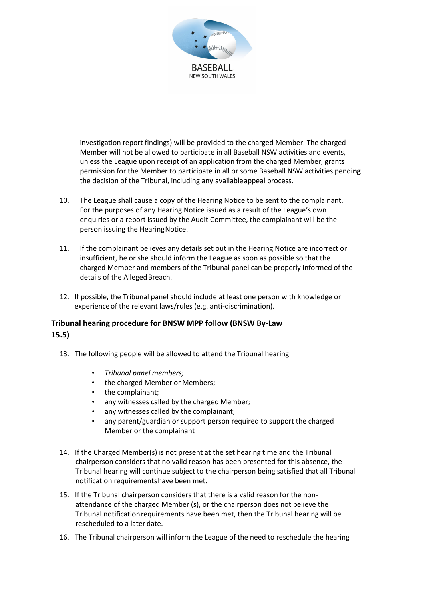

investigation report findings) will be provided to the charged Member. The charged Member will not be allowed to participate in all Baseball NSW activities and events, unless the League upon receipt of an application from the charged Member, grants permission for the Member to participate in all or some Baseball NSW activities pending the decision of the Tribunal, including any availableappeal process.

- 10. The League shall cause a copy of the Hearing Notice to be sent to the complainant. For the purposes of any Hearing Notice issued as a result of the League's own enquiries or a report issued by the Audit Committee, the complainant will be the person issuing the HearingNotice.
- 11. If the complainant believes any details set out in the Hearing Notice are incorrect or insufficient, he or she should inform the League as soon as possible so that the charged Member and members of the Tribunal panel can be properly informed of the details of the Alleged Breach.
- 12. If possible, the Tribunal panel should include at least one person with knowledge or experience of the relevant laws/rules (e.g. anti-discrimination).

# **Tribunal hearing procedure for BNSW MPP follow (BNSW By-Law 15.5)**

- 13. The following people will be allowed to attend the Tribunal hearing
	- *Tribunal panel members;*
	- the charged Member or Members;
	- the complainant;
	- any witnesses called by the charged Member;
	- any witnesses called by the complainant;
	- any parent/guardian or support person required to support the charged Member or the complainant
- 14. If the Charged Member(s) is not present at the set hearing time and the Tribunal chairperson considers that no valid reason has been presented for this absence, the Tribunal hearing will continue subject to the chairperson being satisfied that all Tribunal notification requirementshave been met.
- 15. If the Tribunal chairperson considers that there is a valid reason for the nonattendance of the charged Member (s), or the chairperson does not believe the Tribunal notificationrequirements have been met, then the Tribunal hearing will be rescheduled to a later date.
- 16. The Tribunal chairperson will inform the League of the need to reschedule the hearing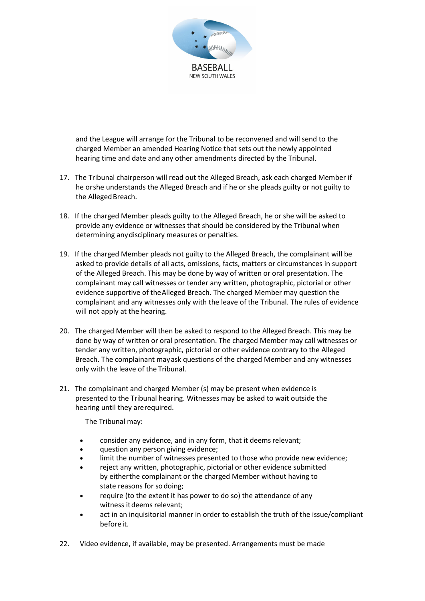

and the League will arrange for the Tribunal to be reconvened and will send to the charged Member an amended Hearing Notice that sets out the newly appointed hearing time and date and any other amendments directed by the Tribunal.

- 17. The Tribunal chairperson will read out the Alleged Breach, ask each charged Member if he orshe understands the Alleged Breach and if he or she pleads guilty or not guilty to the Alleged Breach.
- 18. If the charged Member pleads guilty to the Alleged Breach, he or she will be asked to provide any evidence or witnesses that should be considered by the Tribunal when determining anydisciplinary measures or penalties.
- 19. If the charged Member pleads not guilty to the Alleged Breach, the complainant will be asked to provide details of all acts, omissions, facts, matters or circumstances in support of the Alleged Breach. This may be done by way of written or oral presentation. The complainant may call witnesses or tender any written, photographic, pictorial or other evidence supportive of theAlleged Breach. The charged Member may question the complainant and any witnesses only with the leave of the Tribunal. The rules of evidence will not apply at the hearing.
- 20. The charged Member will then be asked to respond to the Alleged Breach. This may be done by way of written or oral presentation. The charged Member may call witnesses or tender any written, photographic, pictorial or other evidence contrary to the Alleged Breach. The complainant mayask questions of the charged Member and any witnesses only with the leave of the Tribunal.
- 21. The complainant and charged Member (s) may be present when evidence is presented to the Tribunal hearing. Witnesses may be asked to wait outside the hearing until they arerequired.

The Tribunal may:

- consider any evidence, and in any form, that it deems relevant;
- question any person giving evidence;
- limit the number of witnesses presented to those who provide new evidence;
- reject any written, photographic, pictorial or other evidence submitted by eitherthe complainant or the charged Member without having to state reasons for sodoing;
- require (to the extent it has power to do so) the attendance of any witness itdeems relevant;
- act in an inquisitorial manner in order to establish the truth of the issue/compliant before it.
- 22. Video evidence, if available, may be presented. Arrangements must be made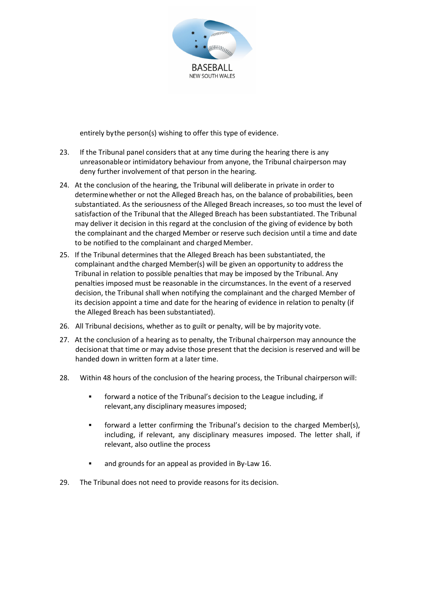

entirely bythe person(s) wishing to offer this type of evidence.

- 23. If the Tribunal panel considers that at any time during the hearing there is any unreasonableor intimidatory behaviour from anyone, the Tribunal chairperson may deny further involvement of that person in the hearing.
- 24. At the conclusion of the hearing, the Tribunal will deliberate in private in order to determinewhether or not the Alleged Breach has, on the balance of probabilities, been substantiated. As the seriousness of the Alleged Breach increases, so too must the level of satisfaction of the Tribunal that the Alleged Breach has been substantiated. The Tribunal may deliver it decision in this regard at the conclusion of the giving of evidence by both the complainant and the charged Member or reserve such decision until a time and date to be notified to the complainant and charged Member.
- 25. If the Tribunal determines that the Alleged Breach has been substantiated, the complainant andthe charged Member(s) will be given an opportunity to address the Tribunal in relation to possible penalties that may be imposed by the Tribunal. Any penalties imposed must be reasonable in the circumstances. In the event of a reserved decision, the Tribunal shall when notifying the complainant and the charged Member of its decision appoint a time and date for the hearing of evidence in relation to penalty (if the Alleged Breach has been substantiated).
- 26. All Tribunal decisions, whether as to guilt or penalty, will be by majority vote.
- 27. At the conclusion of a hearing as to penalty, the Tribunal chairperson may announce the decisionat that time or may advise those present that the decision is reserved and will be handed down in written form at a later time.
- 28. Within 48 hours of the conclusion of the hearing process, the Tribunal chairperson will:
	- forward a notice of the Tribunal's decision to the League including, if relevant,any disciplinary measures imposed;
	- forward a letter confirming the Tribunal's decision to the charged Member(s), including, if relevant, any disciplinary measures imposed. The letter shall, if relevant, also outline the process
	- and grounds for an appeal as provided in By-Law 16.
- 29. The Tribunal does not need to provide reasons for its decision.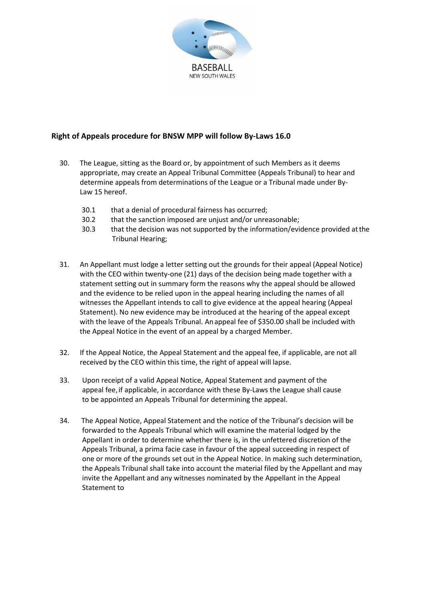

## **Right of Appeals procedure for BNSW MPP will follow By-Laws 16.0**

- 30. The League, sitting as the Board or, by appointment of such Members as it deems appropriate, may create an Appeal Tribunal Committee (Appeals Tribunal) to hear and determine appeals from determinations of the League or a Tribunal made under By-Law 15 hereof.
	- 30.1 that a denial of procedural fairness has occurred;
	- 30.2 that the sanction imposed are unjust and/or unreasonable;
	- 30.3 that the decision was not supported by the information/evidence provided atthe Tribunal Hearing;
- 31. An Appellant must lodge a letter setting out the grounds for their appeal (Appeal Notice) with the CEO within twenty-one (21) days of the decision being made together with a statement setting out in summary form the reasons why the appeal should be allowed and the evidence to be relied upon in the appeal hearing including the names of all witnesses the Appellant intends to call to give evidence at the appeal hearing (Appeal Statement). No new evidence may be introduced at the hearing of the appeal except with the leave of the Appeals Tribunal. Anappeal fee of \$350.00 shall be included with the Appeal Notice in the event of an appeal by a charged Member.
- 32. If the Appeal Notice, the Appeal Statement and the appeal fee, if applicable, are not all received by the CEO within this time, the right of appeal will lapse.
- 33. Upon receipt of a valid Appeal Notice, Appeal Statement and payment of the appeal fee,if applicable, in accordance with these By-Laws the League shall cause to be appointed an Appeals Tribunal for determining the appeal.
- 34. The Appeal Notice, Appeal Statement and the notice of the Tribunal's decision will be forwarded to the Appeals Tribunal which will examine the material lodged by the Appellant in order to determine whether there is, in the unfettered discretion of the Appeals Tribunal, a prima facie case in favour of the appeal succeeding in respect of one or more of the grounds set out in the Appeal Notice. In making such determination, the Appeals Tribunal shall take into account the material filed by the Appellant and may invite the Appellant and any witnesses nominated by the Appellant in the Appeal Statement to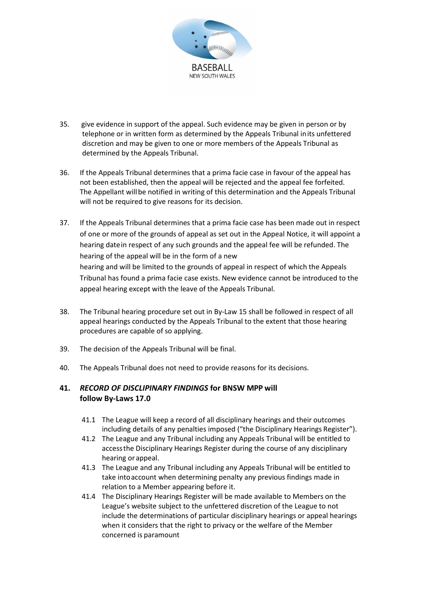

- 35. give evidence in support of the appeal. Such evidence may be given in person or by telephone or in written form as determined by the Appeals Tribunal inits unfettered discretion and may be given to one or more members of the Appeals Tribunal as determined by the Appeals Tribunal.
- 36. If the Appeals Tribunal determines that a prima facie case in favour of the appeal has not been established, then the appeal will be rejected and the appeal fee forfeited. The Appellant willbe notified in writing of this determination and the Appeals Tribunal will not be required to give reasons for its decision.
- 37. If the Appeals Tribunal determines that a prima facie case has been made out in respect of one or more of the grounds of appeal as set out in the Appeal Notice, it will appoint a hearing datein respect of any such grounds and the appeal fee will be refunded. The hearing of the appeal will be in the form of a new hearing and will be limited to the grounds of appeal in respect of which the Appeals Tribunal has found a prima facie case exists. New evidence cannot be introduced to the appeal hearing except with the leave of the Appeals Tribunal.
- 38. The Tribunal hearing procedure set out in By-Law 15 shall be followed in respect of all appeal hearings conducted by the Appeals Tribunal to the extent that those hearing procedures are capable of so applying.
- 39. The decision of the Appeals Tribunal will be final.
- 40. The Appeals Tribunal does not need to provide reasons for its decisions.

### **41.** *RECORD OF DISCLIPINARY FINDINGS* **for BNSW MPP will follow By-Laws 17.0**

- 41.1 The League will keep a record of all disciplinary hearings and their outcomes including details of any penalties imposed ("the Disciplinary Hearings Register").
- 41.2 The League and any Tribunal including any Appeals Tribunal will be entitled to accessthe Disciplinary Hearings Register during the course of any disciplinary hearing orappeal.
- 41.3 The League and any Tribunal including any Appeals Tribunal will be entitled to take intoaccount when determining penalty any previous findings made in relation to a Member appearing before it.
- 41.4 The Disciplinary Hearings Register will be made available to Members on the League's website subject to the unfettered discretion of the League to not include the determinations of particular disciplinary hearings or appeal hearings when it considers that the right to privacy or the welfare of the Member concerned is paramount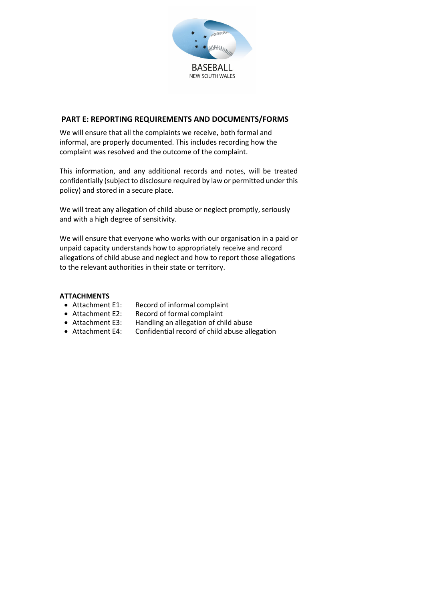

### **PART E: REPORTING REQUIREMENTS AND DOCUMENTS/FORMS**

We will ensure that all the complaints we receive, both formal and informal, are properly documented. This includes recording how the complaint was resolved and the outcome of the complaint.

This information, and any additional records and notes, will be treated confidentially (subject to disclosure required by law or permitted under this policy) and stored in a secure place.

We will treat any allegation of child abuse or neglect promptly, seriously and with a high degree of sensitivity.

We will ensure that everyone who works with our organisation in a paid or unpaid capacity understands how to appropriately receive and record allegations of child abuse and neglect and how to report those allegations to the relevant authorities in their state or territory.

#### **ATTACHMENTS**

- Attachment E1: Record of informal complaint
- Attachment E2: Record of formal complaint
- Attachment E3: Handling an allegation of child abuse
- Attachment E4: Confidential record of child abuse allegation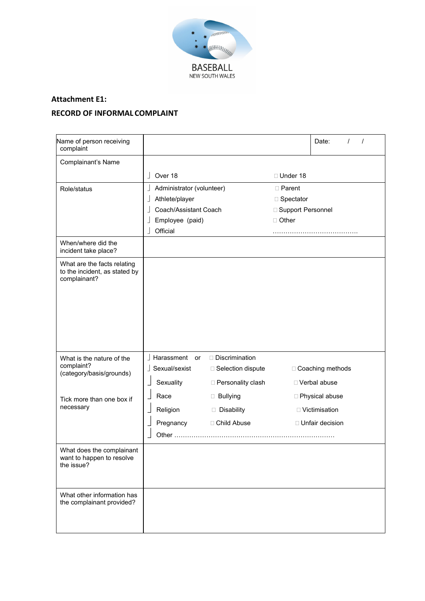

# **Attachment E1: RECORD OF INFORMAL COMPLAINT**

| Name of person receiving<br>complaint                                        |                                                                                                                                      |                                                                |                                                                | Date:                                                    | $\prime$ | $\prime$ |
|------------------------------------------------------------------------------|--------------------------------------------------------------------------------------------------------------------------------------|----------------------------------------------------------------|----------------------------------------------------------------|----------------------------------------------------------|----------|----------|
| Complainant's Name                                                           |                                                                                                                                      |                                                                |                                                                |                                                          |          |          |
|                                                                              | Over 18<br>T                                                                                                                         |                                                                | □ Under 18                                                     |                                                          |          |          |
| Role/status                                                                  | Administrator (volunteer)<br>T<br>Athlete/player<br>Coach/Assistant Coach<br>$\overline{\phantom{a}}$<br>Employee (paid)<br>Official |                                                                | $\Box$ Parent<br>□ Spectator<br>□ Support Personnel<br>□ Other |                                                          |          |          |
| When/where did the<br>incident take place?                                   |                                                                                                                                      |                                                                |                                                                |                                                          |          |          |
| What are the facts relating<br>to the incident, as stated by<br>complainant? |                                                                                                                                      |                                                                |                                                                |                                                          |          |          |
| What is the nature of the<br>complaint?<br>(category/basis/grounds)          | Harassment<br>or<br>Sexual/sexist<br>T<br>Sexuality                                                                                  | □ Discrimination<br>□ Selection dispute<br>□ Personality clash |                                                                | □ Coaching methods<br>□ Verbal abuse                     |          |          |
| Tick more than one box if<br>necessary                                       | Race<br>Religion<br>Pregnancy<br>Other                                                                                               | <b>Bullying</b><br>Disability<br>□ Child Abuse                 |                                                                | □ Physical abuse<br>□ Victimisation<br>□ Unfair decision |          |          |
| What does the complainant<br>want to happen to resolve<br>the issue?         |                                                                                                                                      |                                                                |                                                                |                                                          |          |          |
| What other information has<br>the complainant provided?                      |                                                                                                                                      |                                                                |                                                                |                                                          |          |          |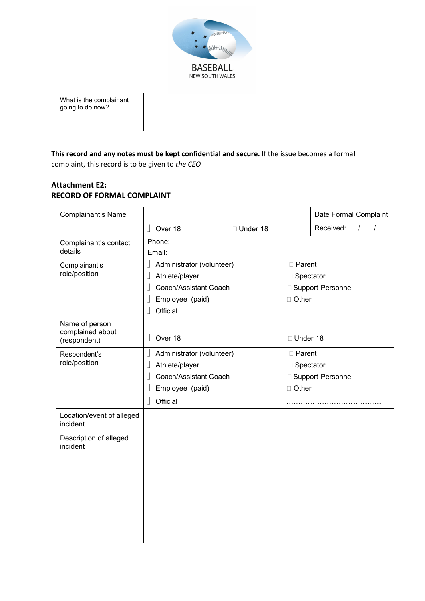

| What is the complainant<br>going to do now? |  |  |  |
|---------------------------------------------|--|--|--|
|                                             |  |  |  |

**This record and any notes must be kept confidential and secure.** If the issue becomes a formal complaint, this record is to be given to *the CEO*

# **Attachment E2: RECORD OF FORMAL COMPLAINT**

| Complainant's Name                    |                           |             | Date Formal Complaint |
|---------------------------------------|---------------------------|-------------|-----------------------|
|                                       | Over 18                   | □ Under 18  | Received:<br>$\prime$ |
| Complainant's contact                 | Phone:                    |             |                       |
| details                               | Email:                    |             |                       |
| Complainant's                         | Administrator (volunteer) | □ Parent    |                       |
| role/position                         | Athlete/player            | □ Spectator |                       |
|                                       | Coach/Assistant Coach     |             | □ Support Personnel   |
|                                       | Employee (paid)           | □ Other     |                       |
|                                       | Official                  |             |                       |
| Name of person                        |                           |             |                       |
| complained about<br>(respondent)      | Over 18                   | □ Under 18  |                       |
| Respondent's                          | Administrator (volunteer) | □ Parent    |                       |
| role/position                         | Athlete/player            | □ Spectator |                       |
|                                       | Coach/Assistant Coach     |             | □ Support Personnel   |
|                                       | Employee (paid)           | □ Other     |                       |
|                                       | Official                  |             |                       |
| Location/event of alleged<br>incident |                           |             |                       |
| Description of alleged<br>incident    |                           |             |                       |
|                                       |                           |             |                       |
|                                       |                           |             |                       |
|                                       |                           |             |                       |
|                                       |                           |             |                       |
|                                       |                           |             |                       |
|                                       |                           |             |                       |
|                                       |                           |             |                       |
|                                       |                           |             |                       |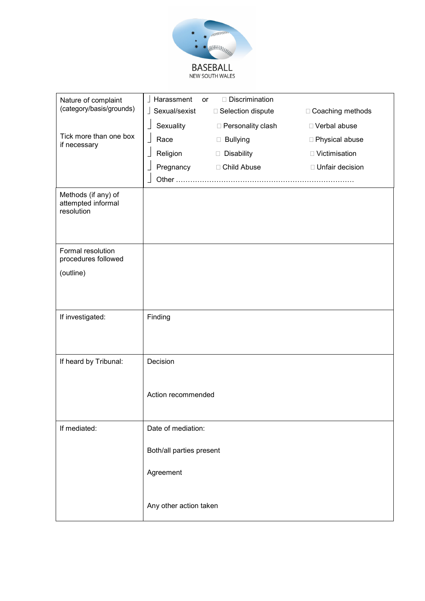

| Nature of complaint                                     | Harassment<br>□ Discrimination<br>$\perp$<br>or |                    |
|---------------------------------------------------------|-------------------------------------------------|--------------------|
| (category/basis/grounds)                                | Sexual/sexist<br>□ Selection dispute            | □ Coaching methods |
|                                                         | Sexuality<br>□ Personality clash                | □ Verbal abuse     |
| Tick more than one box<br>if necessary                  | Race<br><b>D</b> Bullying                       | □ Physical abuse   |
|                                                         | Religion<br>Disability                          | □ Victimisation    |
|                                                         | Pregnancy<br>□ Child Abuse                      | □ Unfair decision  |
|                                                         |                                                 |                    |
| Methods (if any) of<br>attempted informal<br>resolution |                                                 |                    |
|                                                         |                                                 |                    |
| Formal resolution<br>procedures followed                |                                                 |                    |
| (outline)                                               |                                                 |                    |
|                                                         |                                                 |                    |
|                                                         |                                                 |                    |
| If investigated:                                        | Finding                                         |                    |
|                                                         |                                                 |                    |
| If heard by Tribunal:                                   | Decision                                        |                    |
|                                                         |                                                 |                    |
|                                                         | Action recommended                              |                    |
|                                                         |                                                 |                    |
| If mediated:                                            | Date of mediation:                              |                    |
|                                                         | Both/all parties present                        |                    |
|                                                         | Agreement                                       |                    |
|                                                         |                                                 |                    |
|                                                         | Any other action taken                          |                    |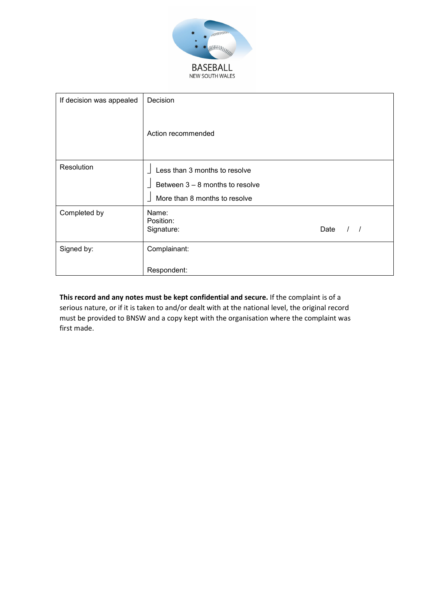

| If decision was appealed | Decision                          |      |
|--------------------------|-----------------------------------|------|
|                          | Action recommended                |      |
| Resolution               | Less than 3 months to resolve     |      |
|                          | Between $3 - 8$ months to resolve |      |
|                          | More than 8 months to resolve     |      |
| Completed by             | Name:<br>Position:                |      |
|                          | Signature:                        | Date |
| Signed by:               | Complainant:                      |      |
|                          | Respondent:                       |      |

**This record and any notes must be kept confidential and secure.** If the complaint is of a serious nature, or if it is taken to and/or dealt with at the national level, the original record must be provided to BNSW and a copy kept with the organisation where the complaint was first made.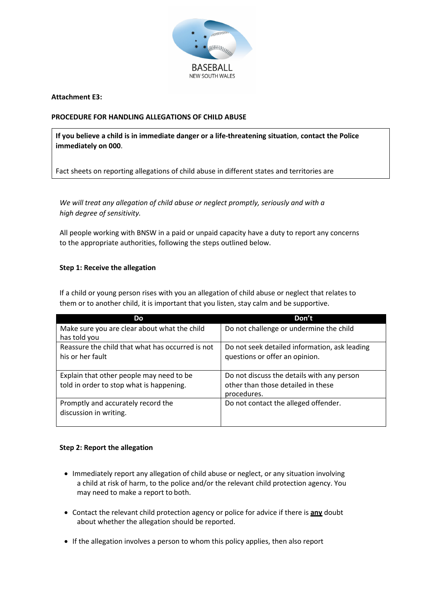

**Attachment E3:**

Ī

#### **PROCEDURE FOR HANDLING ALLEGATIONS OF CHILD ABUSE**

**If you believe a child is in immediate danger or a life-threatening situation**, **contact the Police immediately on 000**.

Fact sheets on reporting allegations of child abuse in different states and territories are

*We will treat any allegation of child abuse or neglect promptly, seriously and with a high degree of sensitivity.*

All people working with BNSW in a paid or unpaid capacity have a duty to report any concerns to the appropriate authorities, following the steps outlined below.

#### **Step 1: Receive the allegation**

If a child or young person rises with you an allegation of child abuse or neglect that relates to them or to another child, it is important that you listen, stay calm and be supportive.

| Do                                               | Don't                                         |
|--------------------------------------------------|-----------------------------------------------|
| Make sure you are clear about what the child     | Do not challenge or undermine the child       |
| has told you                                     |                                               |
| Reassure the child that what has occurred is not | Do not seek detailed information, ask leading |
| his or her fault                                 | questions or offer an opinion.                |
|                                                  |                                               |
| Explain that other people may need to be         | Do not discuss the details with any person    |
| told in order to stop what is happening.         | other than those detailed in these            |
|                                                  | procedures.                                   |
| Promptly and accurately record the               | Do not contact the alleged offender.          |
| discussion in writing.                           |                                               |
|                                                  |                                               |

#### **Step 2: Report the allegation**

- Immediately report any allegation of child abuse or neglect, or any situation involving a child at risk of harm, to the police and/or the relevant child protection agency. You may need to make a report to both.
- Contact the relevant child protection agency or police for advice if there is **any** doubt about whether the allegation should be reported.
- If the allegation involves a person to whom this policy applies, then also report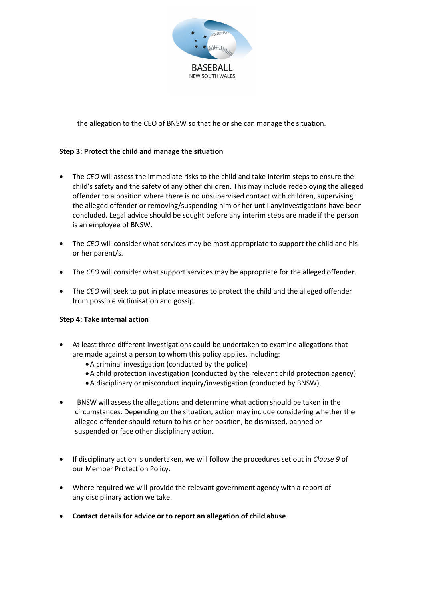

the allegation to the CEO of BNSW so that he or she can manage the situation.

### **Step 3: Protect the child and manage the situation**

- The *CEO* will assess the immediate risks to the child and take interim steps to ensure the child's safety and the safety of any other children. This may include redeploying the alleged offender to a position where there is no unsupervised contact with children, supervising the alleged offender or removing/suspending him or her until anyinvestigations have been concluded. Legal advice should be sought before any interim steps are made if the person is an employee of BNSW.
- The *CEO* will consider what services may be most appropriate to support the child and his or her parent/s.
- The *CEO* will consider what support services may be appropriate for the alleged offender.
- The *CEO* will seek to put in place measures to protect the child and the alleged offender from possible victimisation and gossip.

### **Step 4: Take internal action**

- At least three different investigations could be undertaken to examine allegations that are made against a person to whom this policy applies, including:
	- •A criminal investigation (conducted by the police)
	- •A child protection investigation (conducted by the relevant child protection agency)
	- •A disciplinary or misconduct inquiry/investigation (conducted by BNSW).
- BNSW will assess the allegations and determine what action should be taken in the circumstances. Depending on the situation, action may include considering whether the alleged offender should return to his or her position, be dismissed, banned or suspended or face other disciplinary action.
- If disciplinary action is undertaken, we will follow the procedures set out in *Clause 9* of our Member Protection Policy.
- Where required we will provide the relevant government agency with a report of any disciplinary action we take.
- **Contact details for advice or to report an allegation of child abuse**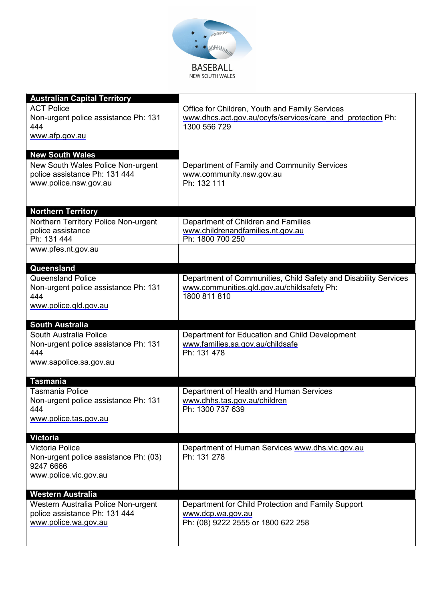

| <b>Australian Capital Territory</b>                    |                                                                 |
|--------------------------------------------------------|-----------------------------------------------------------------|
| <b>ACT Police</b>                                      | Office for Children, Youth and Family Services                  |
| Non-urgent police assistance Ph: 131                   | www.dhcs.act.gov.au/ocyfs/services/care_and_protection Ph:      |
| 444                                                    | 1300 556 729                                                    |
| www.afp.gov.au                                         |                                                                 |
|                                                        |                                                                 |
| <b>New South Wales</b>                                 |                                                                 |
| New South Wales Police Non-urgent                      | Department of Family and Community Services                     |
| police assistance Ph: 131 444<br>www.police.nsw.gov.au | www.community.nsw.gov.au<br>Ph: 132 111                         |
|                                                        |                                                                 |
|                                                        |                                                                 |
| <b>Northern Territory</b>                              |                                                                 |
| Northern Territory Police Non-urgent                   | Department of Children and Families                             |
| police assistance                                      | www.childrenandfamilies.nt.gov.au                               |
| Ph: 131 444                                            | Ph: 1800 700 250                                                |
| www.pfes.nt.gov.au                                     |                                                                 |
| Queensland                                             |                                                                 |
| Queensland Police                                      | Department of Communities, Child Safety and Disability Services |
| Non-urgent police assistance Ph: 131                   | www.communities.gld.gov.au/childsafety Ph:                      |
| 444                                                    | 1800 811 810                                                    |
| www.police.qld.gov.au                                  |                                                                 |
|                                                        |                                                                 |
| <b>South Australia</b>                                 |                                                                 |
| South Australia Police                                 | Department for Education and Child Development                  |
| Non-urgent police assistance Ph: 131<br>444            | www.families.sa.gov.au/childsafe<br>Ph: 131 478                 |
| www.sapolice.sa.gov.au                                 |                                                                 |
|                                                        |                                                                 |
| <b>Tasmania</b>                                        |                                                                 |
| <b>Tasmania Police</b>                                 | Department of Health and Human Services                         |
| Non-urgent police assistance Ph: 131                   | www.dhhs.tas.gov.au/children                                    |
| 444                                                    | Ph: 1300 737 639                                                |
| www.police.tas.gov.au                                  |                                                                 |
|                                                        |                                                                 |
| <b>Victoria</b><br><b>Victoria Police</b>              | Department of Human Services www.dhs.vic.gov.au                 |
| Non-urgent police assistance Ph: (03)                  | Ph: 131 278                                                     |
| 9247 6666                                              |                                                                 |
| www.police.vic.gov.au                                  |                                                                 |
|                                                        |                                                                 |
| <b>Western Australia</b>                               |                                                                 |
| Western Australia Police Non-urgent                    | Department for Child Protection and Family Support              |
|                                                        |                                                                 |
| police assistance Ph: 131 444                          | www.dcp.wa.gov.au                                               |
| www.police.wa.gov.au                                   | Ph: (08) 9222 2555 or 1800 622 258                              |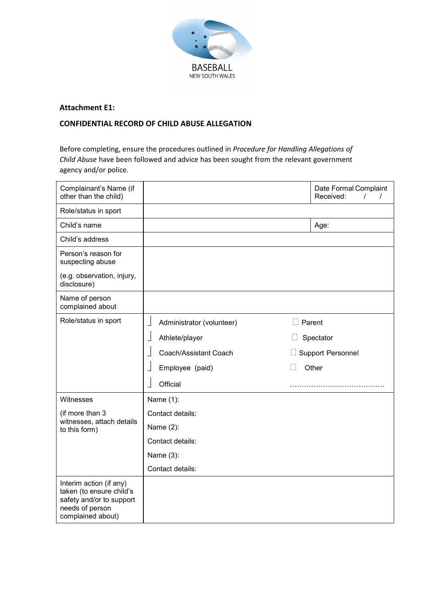

### **Attachment E1:**

# **CONFIDENTIAL RECORD OF CHILD ABUSE ALLEGATION**

Before completing, ensure the procedures outlined in *Procedure for Handling Allegations of Child Abuse* have been followed and advice has been sought from the relevant government agency and/or police.

| Complainant's Name (if<br>other than the child)                                                                         |                                | Date Formal Complaint<br>Received:<br>$\prime$<br>$\prime$ |
|-------------------------------------------------------------------------------------------------------------------------|--------------------------------|------------------------------------------------------------|
| Role/status in sport                                                                                                    |                                |                                                            |
| Child's name                                                                                                            |                                | Age:                                                       |
| Child's address                                                                                                         |                                |                                                            |
| Person's reason for<br>suspecting abuse                                                                                 |                                |                                                            |
| (e.g. observation, injury,<br>disclosure)                                                                               |                                |                                                            |
| Name of person<br>complained about                                                                                      |                                |                                                            |
| Role/status in sport                                                                                                    | Administrator (volunteer)<br>┘ | $\Box$ Parent                                              |
|                                                                                                                         | Athlete/player                 | Spectator                                                  |
|                                                                                                                         | Coach/Assistant Coach          | <b>Support Personnel</b>                                   |
|                                                                                                                         | Employee (paid)                | Other                                                      |
|                                                                                                                         | Official                       |                                                            |
| Witnesses                                                                                                               | Name (1):                      |                                                            |
| (if more than 3                                                                                                         | Contact details:               |                                                            |
| witnesses, attach details<br>to this form)                                                                              | Name $(2)$ :                   |                                                            |
|                                                                                                                         | Contact details:               |                                                            |
|                                                                                                                         | Name (3):                      |                                                            |
|                                                                                                                         | Contact details:               |                                                            |
| Interim action (if any)<br>taken (to ensure child's<br>safety and/or to support<br>needs of person<br>complained about) |                                |                                                            |